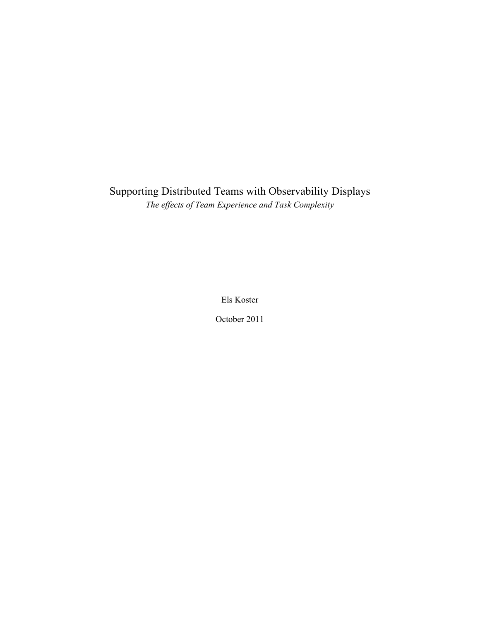# Supporting Distributed Teams with Observability Displays *The effects of Team Experience and Task Complexity*

Els Koster

October 2011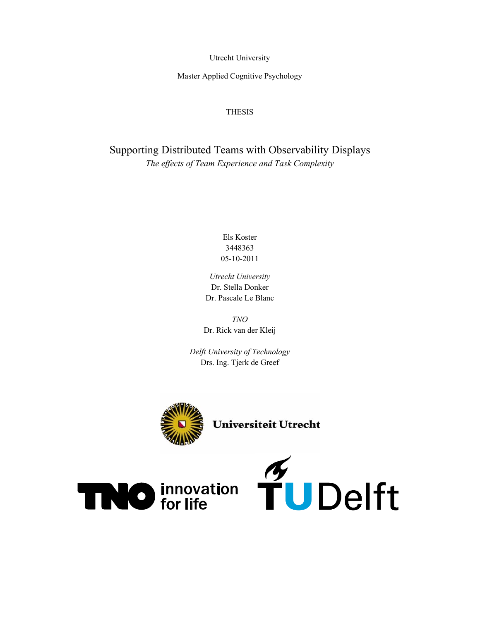Utrecht University

Master Applied Cognitive Psychology

# **THESIS**

# Supporting Distributed Teams with Observability Displays *The effects of Team Experience and Task Complexity*

Els Koster 3448363 05-10-2011

*Utrecht University* Dr. Stella Donker Dr. Pascale Le Blanc

*TNO* Dr. Rick van der Kleij

*Delft University of Technology* Drs. Ing. Tjerk de Greef



Universiteit Utrecht



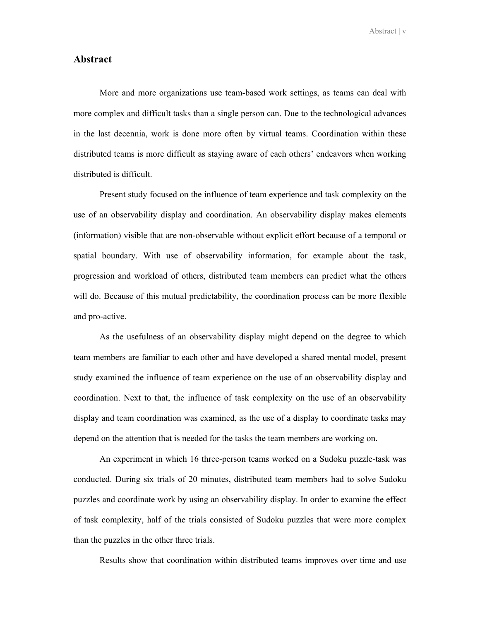Abstract | v

## **Abstract**

 More and more organizations use team-based work settings, as teams can deal with more complex and difficult tasks than a single person can. Due to the technological advances in the last decennia, work is done more often by virtual teams. Coordination within these distributed teams is more difficult as staying aware of each others' endeavors when working distributed is difficult.

 Present study focused on the influence of team experience and task complexity on the use of an observability display and coordination. An observability display makes elements (information) visible that are non-observable without explicit effort because of a temporal or spatial boundary. With use of observability information, for example about the task, progression and workload of others, distributed team members can predict what the others will do. Because of this mutual predictability, the coordination process can be more flexible and pro-active.

 As the usefulness of an observability display might depend on the degree to which team members are familiar to each other and have developed a shared mental model, present study examined the influence of team experience on the use of an observability display and coordination. Next to that, the influence of task complexity on the use of an observability display and team coordination was examined, as the use of a display to coordinate tasks may depend on the attention that is needed for the tasks the team members are working on.

 An experiment in which 16 three-person teams worked on a Sudoku puzzle-task was conducted. During six trials of 20 minutes, distributed team members had to solve Sudoku puzzles and coordinate work by using an observability display. In order to examine the effect of task complexity, half of the trials consisted of Sudoku puzzles that were more complex than the puzzles in the other three trials.

Results show that coordination within distributed teams improves over time and use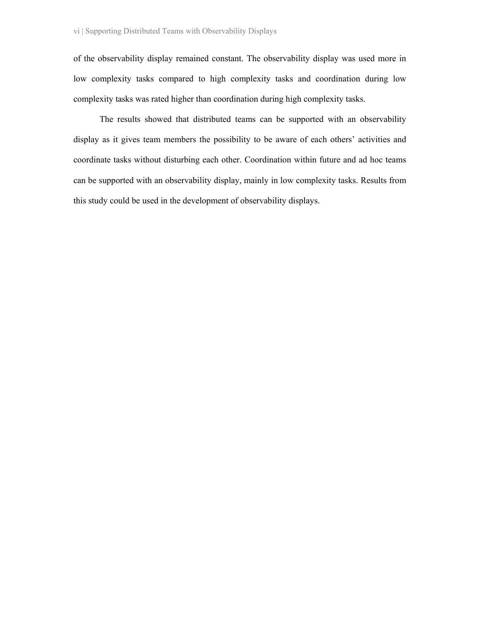of the observability display remained constant. The observability display was used more in low complexity tasks compared to high complexity tasks and coordination during low complexity tasks was rated higher than coordination during high complexity tasks.

 The results showed that distributed teams can be supported with an observability display as it gives team members the possibility to be aware of each others' activities and coordinate tasks without disturbing each other. Coordination within future and ad hoc teams can be supported with an observability display, mainly in low complexity tasks. Results from this study could be used in the development of observability displays.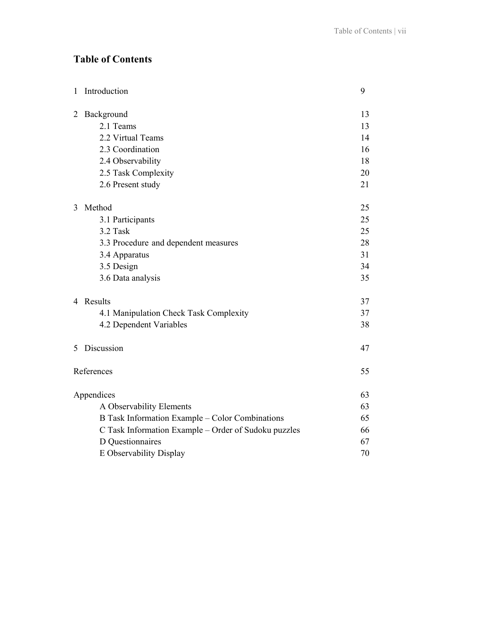# **Table of Contents**

| 1 | Introduction                                         | 9  |
|---|------------------------------------------------------|----|
| 2 | Background                                           | 13 |
|   | 2.1 Teams                                            | 13 |
|   | 2.2 Virtual Teams                                    | 14 |
|   | 2.3 Coordination                                     | 16 |
|   | 2.4 Observability                                    | 18 |
|   | 2.5 Task Complexity                                  | 20 |
|   | 2.6 Present study                                    | 21 |
| 3 | Method                                               | 25 |
|   | 3.1 Participants                                     | 25 |
|   | 3.2 Task                                             | 25 |
|   | 3.3 Procedure and dependent measures                 | 28 |
|   | 3.4 Apparatus                                        | 31 |
|   | 3.5 Design                                           | 34 |
|   | 3.6 Data analysis                                    | 35 |
|   | 4 Results                                            | 37 |
|   | 4.1 Manipulation Check Task Complexity               | 37 |
|   | 4.2 Dependent Variables                              | 38 |
| 5 | Discussion                                           | 47 |
|   | References                                           | 55 |
|   | Appendices                                           | 63 |
|   | A Observability Elements                             | 63 |
|   | B Task Information Example - Color Combinations      | 65 |
|   | C Task Information Example - Order of Sudoku puzzles | 66 |
|   | D Questionnaires                                     | 67 |
|   | E Observability Display                              | 70 |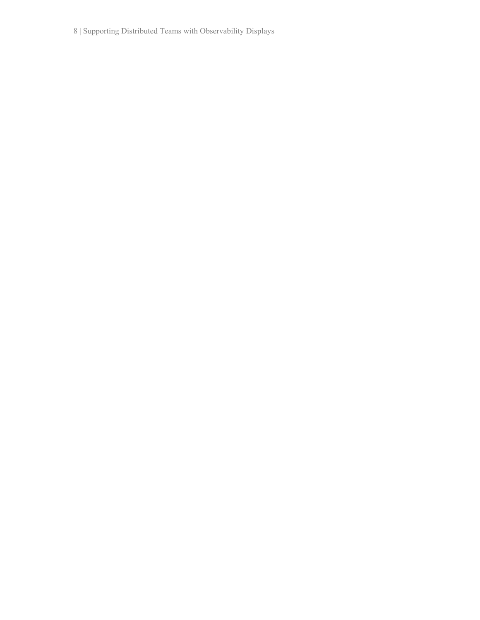8 | Supporting Distributed Teams with Observability Displays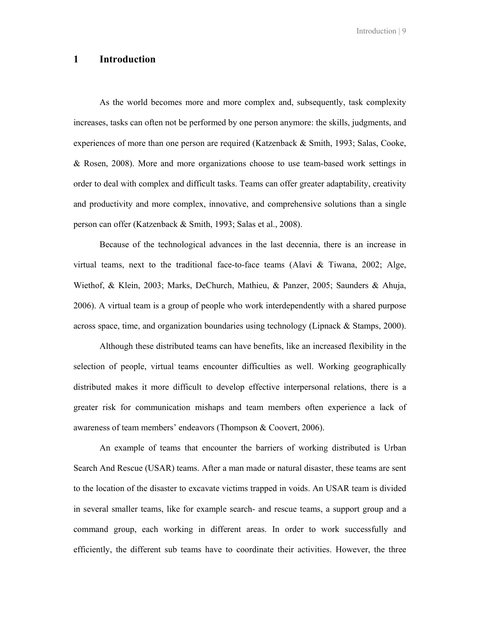Introduction | 9

# **1 Introduction**

As the world becomes more and more complex and, subsequently, task complexity increases, tasks can often not be performed by one person anymore: the skills, judgments, and experiences of more than one person are required (Katzenback & Smith, 1993; Salas, Cooke, & Rosen, 2008). More and more organizations choose to use team-based work settings in order to deal with complex and difficult tasks. Teams can offer greater adaptability, creativity and productivity and more complex, innovative, and comprehensive solutions than a single person can offer (Katzenback & Smith, 1993; Salas et al., 2008).

 Because of the technological advances in the last decennia, there is an increase in virtual teams, next to the traditional face-to-face teams (Alavi  $\&$  Tiwana, 2002; Alge, Wiethof, & Klein, 2003; Marks, DeChurch, Mathieu, & Panzer, 2005; Saunders & Ahuja, 2006). A virtual team is a group of people who work interdependently with a shared purpose across space, time, and organization boundaries using technology (Lipnack & Stamps, 2000).

 Although these distributed teams can have benefits, like an increased flexibility in the selection of people, virtual teams encounter difficulties as well. Working geographically distributed makes it more difficult to develop effective interpersonal relations, there is a greater risk for communication mishaps and team members often experience a lack of awareness of team members' endeavors (Thompson & Coovert, 2006).

 An example of teams that encounter the barriers of working distributed is Urban Search And Rescue (USAR) teams. After a man made or natural disaster, these teams are sent to the location of the disaster to excavate victims trapped in voids. An USAR team is divided in several smaller teams, like for example search- and rescue teams, a support group and a command group, each working in different areas. In order to work successfully and efficiently, the different sub teams have to coordinate their activities. However, the three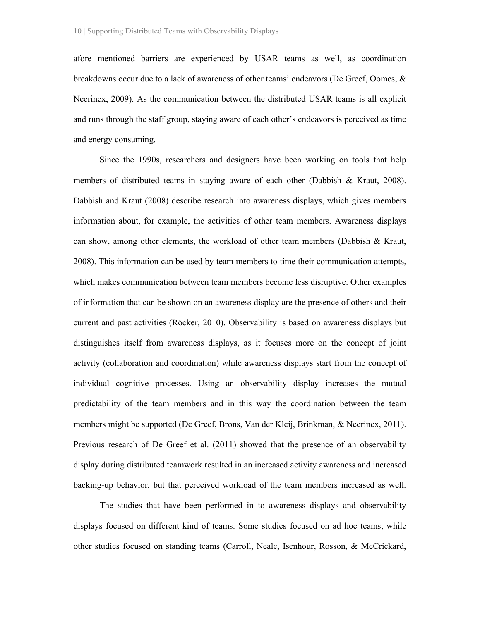afore mentioned barriers are experienced by USAR teams as well, as coordination breakdowns occur due to a lack of awareness of other teams' endeavors (De Greef, Oomes, & Neerincx, 2009). As the communication between the distributed USAR teams is all explicit and runs through the staff group, staying aware of each other's endeavors is perceived as time and energy consuming.

 Since the 1990s, researchers and designers have been working on tools that help members of distributed teams in staying aware of each other (Dabbish & Kraut, 2008). Dabbish and Kraut (2008) describe research into awareness displays, which gives members information about, for example, the activities of other team members. Awareness displays can show, among other elements, the workload of other team members (Dabbish & Kraut, 2008). This information can be used by team members to time their communication attempts, which makes communication between team members become less disruptive. Other examples of information that can be shown on an awareness display are the presence of others and their current and past activities (Röcker, 2010). Observability is based on awareness displays but distinguishes itself from awareness displays, as it focuses more on the concept of joint activity (collaboration and coordination) while awareness displays start from the concept of individual cognitive processes. Using an observability display increases the mutual predictability of the team members and in this way the coordination between the team members might be supported (De Greef, Brons, Van der Kleij, Brinkman, & Neerincx, 2011). Previous research of De Greef et al. (2011) showed that the presence of an observability display during distributed teamwork resulted in an increased activity awareness and increased backing-up behavior, but that perceived workload of the team members increased as well.

 The studies that have been performed in to awareness displays and observability displays focused on different kind of teams. Some studies focused on ad hoc teams, while other studies focused on standing teams (Carroll, Neale, Isenhour, Rosson, & McCrickard,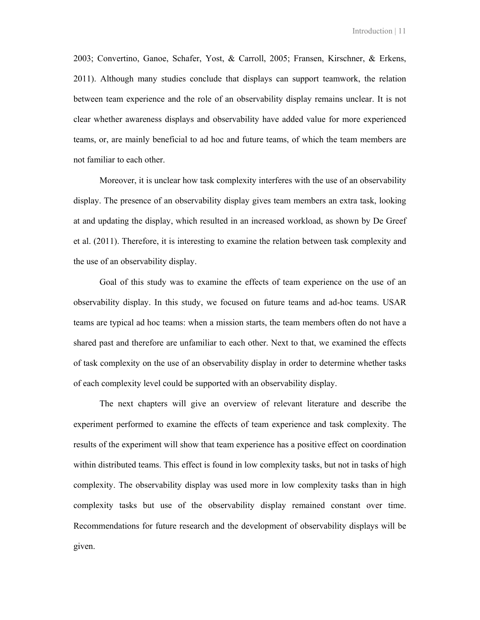2003; Convertino, Ganoe, Schafer, Yost, & Carroll, 2005; Fransen, Kirschner, & Erkens, 2011). Although many studies conclude that displays can support teamwork, the relation between team experience and the role of an observability display remains unclear. It is not clear whether awareness displays and observability have added value for more experienced teams, or, are mainly beneficial to ad hoc and future teams, of which the team members are not familiar to each other.

 Moreover, it is unclear how task complexity interferes with the use of an observability display. The presence of an observability display gives team members an extra task, looking at and updating the display, which resulted in an increased workload, as shown by De Greef et al. (2011). Therefore, it is interesting to examine the relation between task complexity and the use of an observability display.

 Goal of this study was to examine the effects of team experience on the use of an observability display. In this study, we focused on future teams and ad-hoc teams. USAR teams are typical ad hoc teams: when a mission starts, the team members often do not have a shared past and therefore are unfamiliar to each other. Next to that, we examined the effects of task complexity on the use of an observability display in order to determine whether tasks of each complexity level could be supported with an observability display.

 The next chapters will give an overview of relevant literature and describe the experiment performed to examine the effects of team experience and task complexity. The results of the experiment will show that team experience has a positive effect on coordination within distributed teams. This effect is found in low complexity tasks, but not in tasks of high complexity. The observability display was used more in low complexity tasks than in high complexity tasks but use of the observability display remained constant over time. Recommendations for future research and the development of observability displays will be given.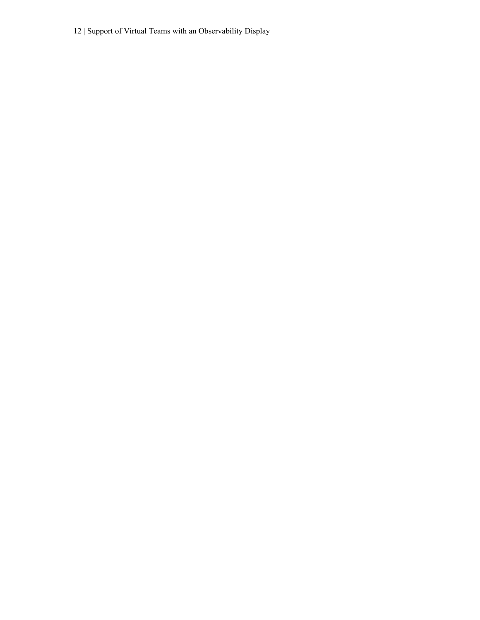12 | Support of Virtual Teams with an Observability Display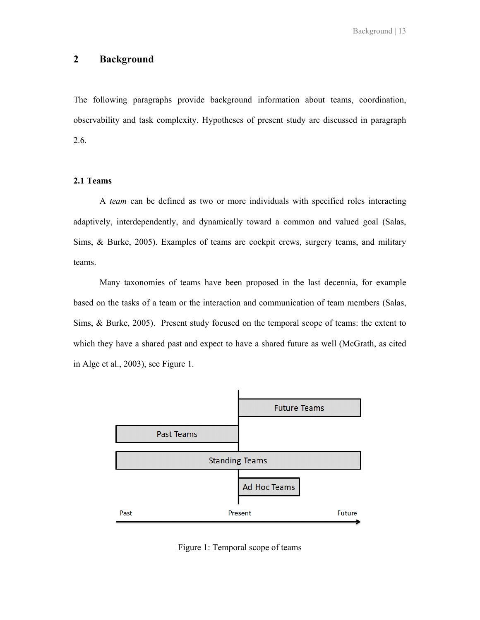Background | 13

# **2 Background**

The following paragraphs provide background information about teams, coordination, observability and task complexity. Hypotheses of present study are discussed in paragraph 2.6.

# **2.1 Teams**

 A *team* can be defined as two or more individuals with specified roles interacting adaptively, interdependently, and dynamically toward a common and valued goal (Salas, Sims, & Burke, 2005). Examples of teams are cockpit crews, surgery teams, and military teams.

 Many taxonomies of teams have been proposed in the last decennia, for example based on the tasks of a team or the interaction and communication of team members (Salas, Sims, & Burke, 2005). Present study focused on the temporal scope of teams: the extent to which they have a shared past and expect to have a shared future as well (McGrath, as cited in Alge et al., 2003), see Figure 1.



Figure 1: Temporal scope of teams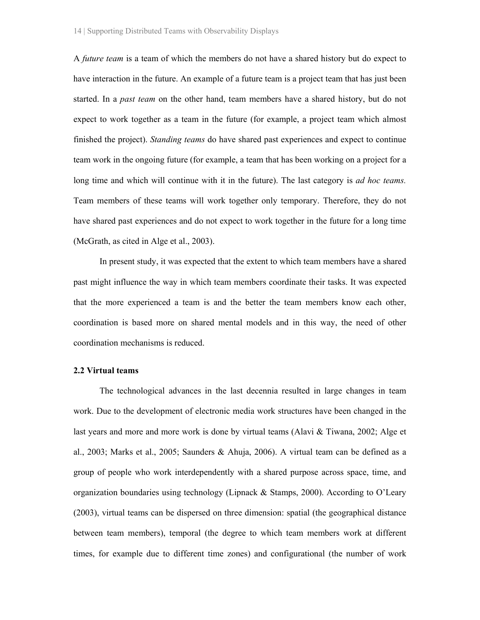A *future team* is a team of which the members do not have a shared history but do expect to have interaction in the future. An example of a future team is a project team that has just been started. In a *past team* on the other hand, team members have a shared history, but do not expect to work together as a team in the future (for example, a project team which almost finished the project). *Standing teams* do have shared past experiences and expect to continue team work in the ongoing future (for example, a team that has been working on a project for a long time and which will continue with it in the future). The last category is *ad hoc teams.* Team members of these teams will work together only temporary. Therefore, they do not have shared past experiences and do not expect to work together in the future for a long time (McGrath, as cited in Alge et al., 2003).

 In present study, it was expected that the extent to which team members have a shared past might influence the way in which team members coordinate their tasks. It was expected that the more experienced a team is and the better the team members know each other, coordination is based more on shared mental models and in this way, the need of other coordination mechanisms is reduced.

#### **2.2 Virtual teams**

 The technological advances in the last decennia resulted in large changes in team work. Due to the development of electronic media work structures have been changed in the last years and more and more work is done by virtual teams (Alavi & Tiwana, 2002; Alge et al., 2003; Marks et al., 2005; Saunders & Ahuja, 2006). A virtual team can be defined as a group of people who work interdependently with a shared purpose across space, time, and organization boundaries using technology (Lipnack  $&$  Stamps, 2000). According to O'Leary (2003), virtual teams can be dispersed on three dimension: spatial (the geographical distance between team members), temporal (the degree to which team members work at different times, for example due to different time zones) and configurational (the number of work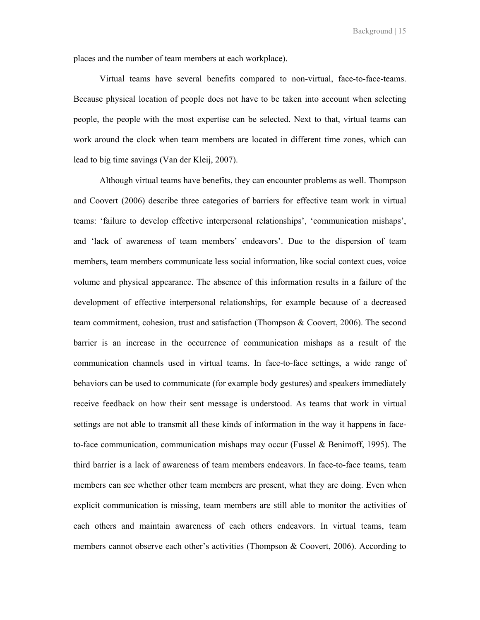places and the number of team members at each workplace).

 Virtual teams have several benefits compared to non-virtual, face-to-face-teams. Because physical location of people does not have to be taken into account when selecting people, the people with the most expertise can be selected. Next to that, virtual teams can work around the clock when team members are located in different time zones, which can lead to big time savings (Van der Kleij, 2007).

 Although virtual teams have benefits, they can encounter problems as well. Thompson and Coovert (2006) describe three categories of barriers for effective team work in virtual teams: 'failure to develop effective interpersonal relationships', 'communication mishaps', and 'lack of awareness of team members' endeavors'. Due to the dispersion of team members, team members communicate less social information, like social context cues, voice volume and physical appearance. The absence of this information results in a failure of the development of effective interpersonal relationships, for example because of a decreased team commitment, cohesion, trust and satisfaction (Thompson & Coovert, 2006). The second barrier is an increase in the occurrence of communication mishaps as a result of the communication channels used in virtual teams. In face-to-face settings, a wide range of behaviors can be used to communicate (for example body gestures) and speakers immediately receive feedback on how their sent message is understood. As teams that work in virtual settings are not able to transmit all these kinds of information in the way it happens in faceto-face communication, communication mishaps may occur (Fussel & Benimoff, 1995). The third barrier is a lack of awareness of team members endeavors. In face-to-face teams, team members can see whether other team members are present, what they are doing. Even when explicit communication is missing, team members are still able to monitor the activities of each others and maintain awareness of each others endeavors. In virtual teams, team members cannot observe each other's activities (Thompson & Coovert, 2006). According to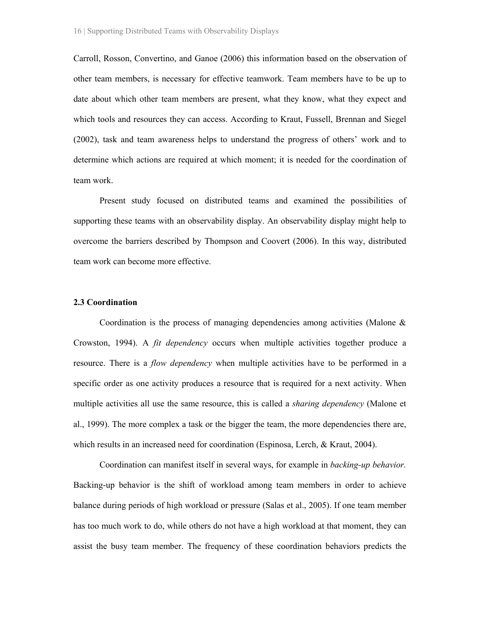Carroll, Rosson, Convertino, and Ganoe (2006) this information based on the observation of other team members, is necessary for effective teamwork. Team members have to be up to date about which other team members are present, what they know, what they expect and which tools and resources they can access. According to Kraut, Fussell, Brennan and Siegel (2002), task and team awareness helps to understand the progress of others' work and to determine which actions are required at which moment; it is needed for the coordination of team work.

 Present study focused on distributed teams and examined the possibilities of supporting these teams with an observability display. An observability display might help to overcome the barriers described by Thompson and Coovert (2006). In this way, distributed team work can become more effective.

#### **2.3 Coordination**

 Coordination is the process of managing dependencies among activities (Malone & Crowston, 1994). A *fit dependency* occurs when multiple activities together produce a resource. There is a *flow dependency* when multiple activities have to be performed in a specific order as one activity produces a resource that is required for a next activity. When multiple activities all use the same resource, this is called a *sharing dependency* (Malone et al., 1999). The more complex a task or the bigger the team, the more dependencies there are, which results in an increased need for coordination (Espinosa, Lerch, & Kraut, 2004).

 Coordination can manifest itself in several ways, for example in *backing-up behavior.*  Backing-up behavior is the shift of workload among team members in order to achieve balance during periods of high workload or pressure (Salas et al., 2005). If one team member has too much work to do, while others do not have a high workload at that moment, they can assist the busy team member. The frequency of these coordination behaviors predicts the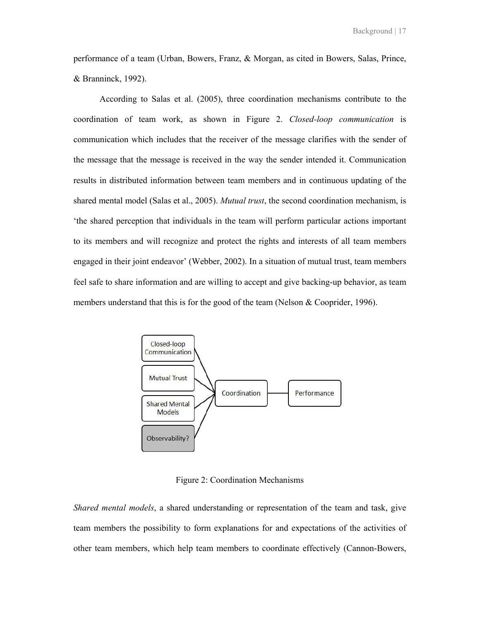performance of a team (Urban, Bowers, Franz, & Morgan, as cited in Bowers, Salas, Prince, & Branninck, 1992).

 According to Salas et al. (2005), three coordination mechanisms contribute to the coordination of team work, as shown in Figure 2. *Closed-loop communication* is communication which includes that the receiver of the message clarifies with the sender of the message that the message is received in the way the sender intended it. Communication results in distributed information between team members and in continuous updating of the shared mental model (Salas et al., 2005). *Mutual trust*, the second coordination mechanism, is 'the shared perception that individuals in the team will perform particular actions important to its members and will recognize and protect the rights and interests of all team members engaged in their joint endeavor' (Webber, 2002). In a situation of mutual trust, team members feel safe to share information and are willing to accept and give backing-up behavior, as team members understand that this is for the good of the team (Nelson & Cooprider, 1996).



Figure 2: Coordination Mechanisms

*Shared mental models*, a shared understanding or representation of the team and task, give team members the possibility to form explanations for and expectations of the activities of other team members, which help team members to coordinate effectively (Cannon-Bowers,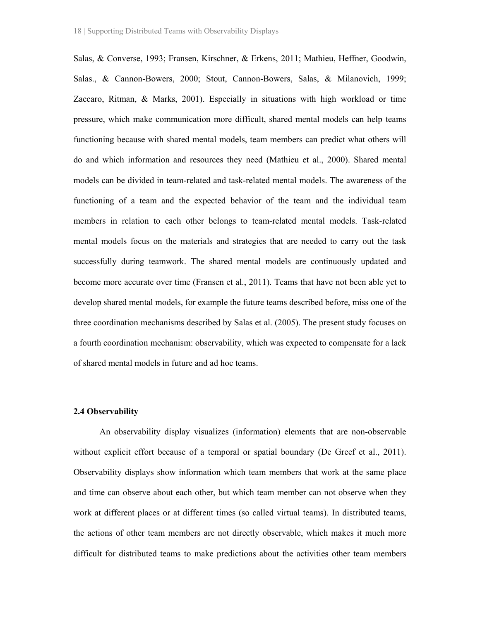Salas, & Converse, 1993; Fransen, Kirschner, & Erkens, 2011; Mathieu, Heffner, Goodwin, Salas., & Cannon-Bowers, 2000; Stout, Cannon-Bowers, Salas, & Milanovich, 1999; Zaccaro, Ritman, & Marks, 2001). Especially in situations with high workload or time pressure, which make communication more difficult, shared mental models can help teams functioning because with shared mental models, team members can predict what others will do and which information and resources they need (Mathieu et al., 2000). Shared mental models can be divided in team-related and task-related mental models. The awareness of the functioning of a team and the expected behavior of the team and the individual team members in relation to each other belongs to team-related mental models. Task-related mental models focus on the materials and strategies that are needed to carry out the task successfully during teamwork. The shared mental models are continuously updated and become more accurate over time (Fransen et al., 2011). Teams that have not been able yet to develop shared mental models, for example the future teams described before, miss one of the three coordination mechanisms described by Salas et al. (2005). The present study focuses on a fourth coordination mechanism: observability, which was expected to compensate for a lack of shared mental models in future and ad hoc teams.

#### **2.4 Observability**

 An observability display visualizes (information) elements that are non-observable without explicit effort because of a temporal or spatial boundary (De Greef et al., 2011). Observability displays show information which team members that work at the same place and time can observe about each other, but which team member can not observe when they work at different places or at different times (so called virtual teams). In distributed teams, the actions of other team members are not directly observable, which makes it much more difficult for distributed teams to make predictions about the activities other team members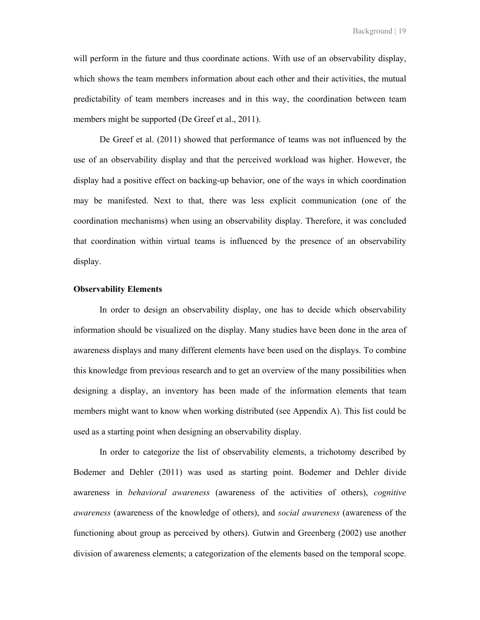Background | 19

will perform in the future and thus coordinate actions. With use of an observability display, which shows the team members information about each other and their activities, the mutual predictability of team members increases and in this way, the coordination between team members might be supported (De Greef et al., 2011).

 De Greef et al. (2011) showed that performance of teams was not influenced by the use of an observability display and that the perceived workload was higher. However, the display had a positive effect on backing-up behavior, one of the ways in which coordination may be manifested. Next to that, there was less explicit communication (one of the coordination mechanisms) when using an observability display. Therefore, it was concluded that coordination within virtual teams is influenced by the presence of an observability display.

#### **Observability Elements**

 In order to design an observability display, one has to decide which observability information should be visualized on the display. Many studies have been done in the area of awareness displays and many different elements have been used on the displays. To combine this knowledge from previous research and to get an overview of the many possibilities when designing a display, an inventory has been made of the information elements that team members might want to know when working distributed (see Appendix A). This list could be used as a starting point when designing an observability display.

 In order to categorize the list of observability elements, a trichotomy described by Bodemer and Dehler (2011) was used as starting point. Bodemer and Dehler divide awareness in *behavioral awareness* (awareness of the activities of others), *cognitive awareness* (awareness of the knowledge of others), and *social awareness* (awareness of the functioning about group as perceived by others). Gutwin and Greenberg (2002) use another division of awareness elements; a categorization of the elements based on the temporal scope.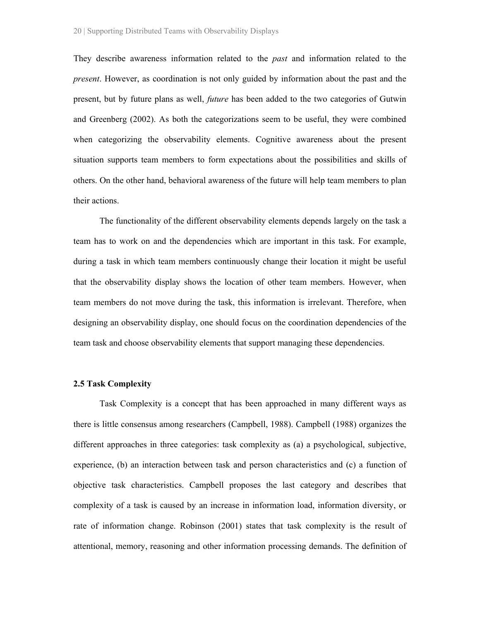They describe awareness information related to the *past* and information related to the *present*. However, as coordination is not only guided by information about the past and the present, but by future plans as well, *future* has been added to the two categories of Gutwin and Greenberg (2002). As both the categorizations seem to be useful, they were combined when categorizing the observability elements. Cognitive awareness about the present situation supports team members to form expectations about the possibilities and skills of others. On the other hand, behavioral awareness of the future will help team members to plan their actions.

 The functionality of the different observability elements depends largely on the task a team has to work on and the dependencies which are important in this task. For example, during a task in which team members continuously change their location it might be useful that the observability display shows the location of other team members. However, when team members do not move during the task, this information is irrelevant. Therefore, when designing an observability display, one should focus on the coordination dependencies of the team task and choose observability elements that support managing these dependencies.

#### **2.5 Task Complexity**

 Task Complexity is a concept that has been approached in many different ways as there is little consensus among researchers (Campbell, 1988). Campbell (1988) organizes the different approaches in three categories: task complexity as (a) a psychological, subjective, experience, (b) an interaction between task and person characteristics and (c) a function of objective task characteristics. Campbell proposes the last category and describes that complexity of a task is caused by an increase in information load, information diversity, or rate of information change. Robinson (2001) states that task complexity is the result of attentional, memory, reasoning and other information processing demands. The definition of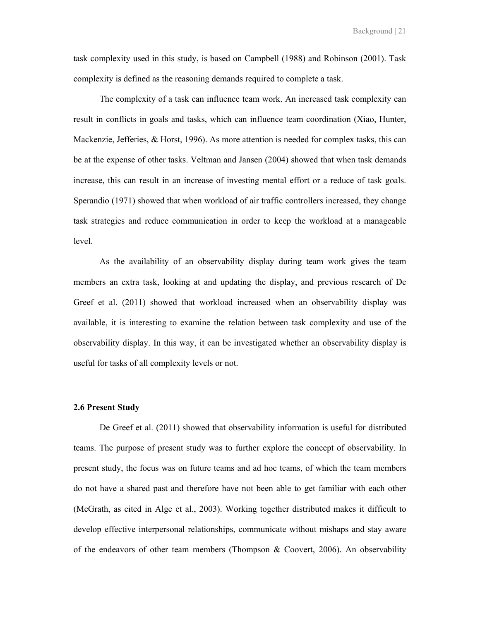Background | 21

task complexity used in this study, is based on Campbell (1988) and Robinson (2001). Task complexity is defined as the reasoning demands required to complete a task.

 The complexity of a task can influence team work. An increased task complexity can result in conflicts in goals and tasks, which can influence team coordination (Xiao, Hunter, Mackenzie, Jefferies, & Horst, 1996). As more attention is needed for complex tasks, this can be at the expense of other tasks. Veltman and Jansen (2004) showed that when task demands increase, this can result in an increase of investing mental effort or a reduce of task goals. Sperandio (1971) showed that when workload of air traffic controllers increased, they change task strategies and reduce communication in order to keep the workload at a manageable level.

 As the availability of an observability display during team work gives the team members an extra task, looking at and updating the display, and previous research of De Greef et al. (2011) showed that workload increased when an observability display was available, it is interesting to examine the relation between task complexity and use of the observability display. In this way, it can be investigated whether an observability display is useful for tasks of all complexity levels or not.

#### **2.6 Present Study**

 De Greef et al. (2011) showed that observability information is useful for distributed teams. The purpose of present study was to further explore the concept of observability. In present study, the focus was on future teams and ad hoc teams, of which the team members do not have a shared past and therefore have not been able to get familiar with each other (McGrath, as cited in Alge et al., 2003). Working together distributed makes it difficult to develop effective interpersonal relationships, communicate without mishaps and stay aware of the endeavors of other team members (Thompson & Coovert, 2006). An observability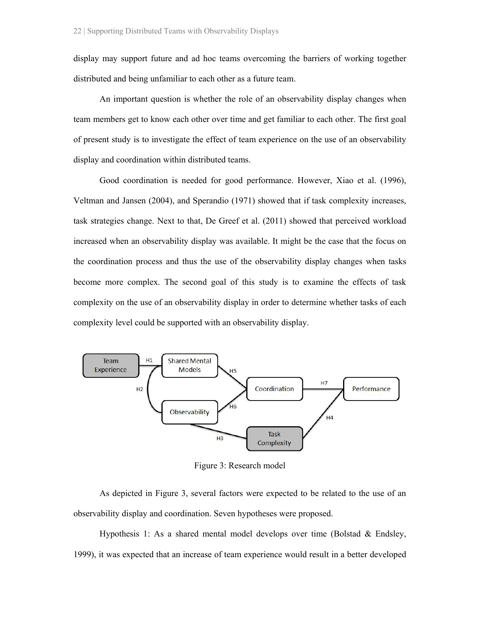display may support future and ad hoc teams overcoming the barriers of working together distributed and being unfamiliar to each other as a future team.

 An important question is whether the role of an observability display changes when team members get to know each other over time and get familiar to each other. The first goal of present study is to investigate the effect of team experience on the use of an observability display and coordination within distributed teams.

 Good coordination is needed for good performance. However, Xiao et al. (1996), Veltman and Jansen (2004), and Sperandio (1971) showed that if task complexity increases, task strategies change. Next to that, De Greef et al. (2011) showed that perceived workload increased when an observability display was available. It might be the case that the focus on the coordination process and thus the use of the observability display changes when tasks become more complex. The second goal of this study is to examine the effects of task complexity on the use of an observability display in order to determine whether tasks of each complexity level could be supported with an observability display.



Figure 3: Research model

 As depicted in Figure 3, several factors were expected to be related to the use of an observability display and coordination. Seven hypotheses were proposed.

 Hypothesis 1: As a shared mental model develops over time (Bolstad & Endsley, 1999), it was expected that an increase of team experience would result in a better developed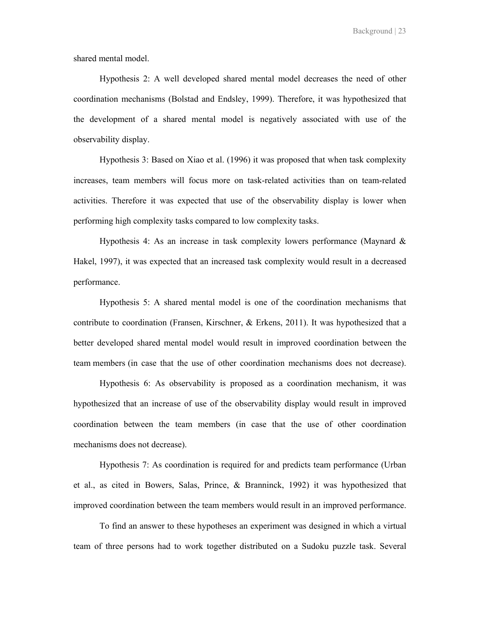Background | 23

shared mental model.

 Hypothesis 2: A well developed shared mental model decreases the need of other coordination mechanisms (Bolstad and Endsley, 1999). Therefore, it was hypothesized that the development of a shared mental model is negatively associated with use of the observability display.

 Hypothesis 3: Based on Xiao et al. (1996) it was proposed that when task complexity increases, team members will focus more on task-related activities than on team-related activities. Therefore it was expected that use of the observability display is lower when performing high complexity tasks compared to low complexity tasks.

Hypothesis 4: As an increase in task complexity lowers performance (Maynard  $\&$ Hakel, 1997), it was expected that an increased task complexity would result in a decreased performance.

 Hypothesis 5: A shared mental model is one of the coordination mechanisms that contribute to coordination (Fransen, Kirschner, & Erkens, 2011). It was hypothesized that a better developed shared mental model would result in improved coordination between the team members (in case that the use of other coordination mechanisms does not decrease).

 Hypothesis 6: As observability is proposed as a coordination mechanism, it was hypothesized that an increase of use of the observability display would result in improved coordination between the team members (in case that the use of other coordination mechanisms does not decrease).

 Hypothesis 7: As coordination is required for and predicts team performance (Urban et al., as cited in Bowers, Salas, Prince, & Branninck, 1992) it was hypothesized that improved coordination between the team members would result in an improved performance.

 To find an answer to these hypotheses an experiment was designed in which a virtual team of three persons had to work together distributed on a Sudoku puzzle task. Several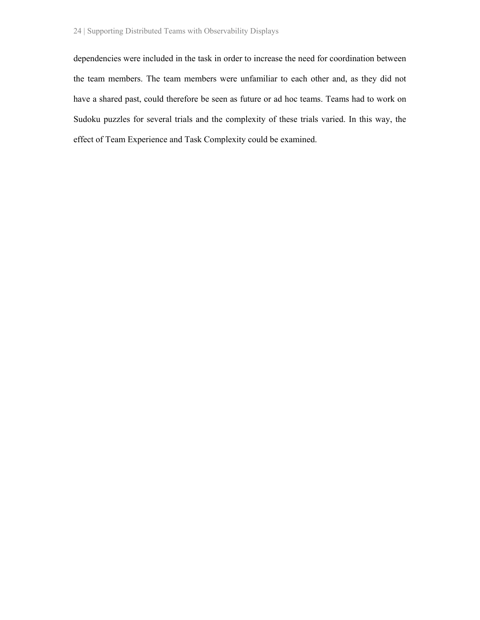dependencies were included in the task in order to increase the need for coordination between the team members. The team members were unfamiliar to each other and, as they did not have a shared past, could therefore be seen as future or ad hoc teams. Teams had to work on Sudoku puzzles for several trials and the complexity of these trials varied. In this way, the effect of Team Experience and Task Complexity could be examined.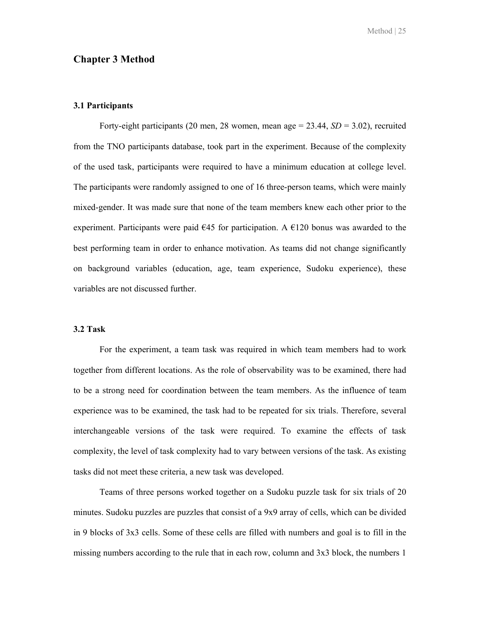# **Chapter 3 Method**

#### **3.1 Participants**

Forty-eight participants (20 men, 28 women, mean age  $= 23.44$ ,  $SD = 3.02$ ), recruited from the TNO participants database, took part in the experiment. Because of the complexity of the used task, participants were required to have a minimum education at college level. The participants were randomly assigned to one of 16 three-person teams, which were mainly mixed-gender. It was made sure that none of the team members knew each other prior to the experiment. Participants were paid  $\epsilon$ 45 for participation. A  $\epsilon$ 120 bonus was awarded to the best performing team in order to enhance motivation. As teams did not change significantly on background variables (education, age, team experience, Sudoku experience), these variables are not discussed further.

## **3.2 Task**

 For the experiment, a team task was required in which team members had to work together from different locations. As the role of observability was to be examined, there had to be a strong need for coordination between the team members. As the influence of team experience was to be examined, the task had to be repeated for six trials. Therefore, several interchangeable versions of the task were required. To examine the effects of task complexity, the level of task complexity had to vary between versions of the task. As existing tasks did not meet these criteria, a new task was developed.

 Teams of three persons worked together on a Sudoku puzzle task for six trials of 20 minutes. Sudoku puzzles are puzzles that consist of a 9x9 array of cells, which can be divided in 9 blocks of 3x3 cells. Some of these cells are filled with numbers and goal is to fill in the missing numbers according to the rule that in each row, column and 3x3 block, the numbers 1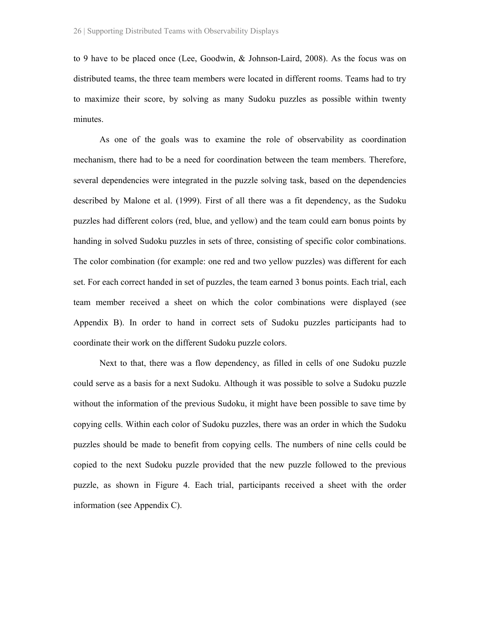to 9 have to be placed once (Lee, Goodwin, & Johnson-Laird, 2008). As the focus was on distributed teams, the three team members were located in different rooms. Teams had to try to maximize their score, by solving as many Sudoku puzzles as possible within twenty minutes.

 As one of the goals was to examine the role of observability as coordination mechanism, there had to be a need for coordination between the team members. Therefore, several dependencies were integrated in the puzzle solving task, based on the dependencies described by Malone et al. (1999). First of all there was a fit dependency, as the Sudoku puzzles had different colors (red, blue, and yellow) and the team could earn bonus points by handing in solved Sudoku puzzles in sets of three, consisting of specific color combinations. The color combination (for example: one red and two yellow puzzles) was different for each set. For each correct handed in set of puzzles, the team earned 3 bonus points. Each trial, each team member received a sheet on which the color combinations were displayed (see Appendix B). In order to hand in correct sets of Sudoku puzzles participants had to coordinate their work on the different Sudoku puzzle colors.

 Next to that, there was a flow dependency, as filled in cells of one Sudoku puzzle could serve as a basis for a next Sudoku. Although it was possible to solve a Sudoku puzzle without the information of the previous Sudoku, it might have been possible to save time by copying cells. Within each color of Sudoku puzzles, there was an order in which the Sudoku puzzles should be made to benefit from copying cells. The numbers of nine cells could be copied to the next Sudoku puzzle provided that the new puzzle followed to the previous puzzle, as shown in Figure 4. Each trial, participants received a sheet with the order information (see Appendix C).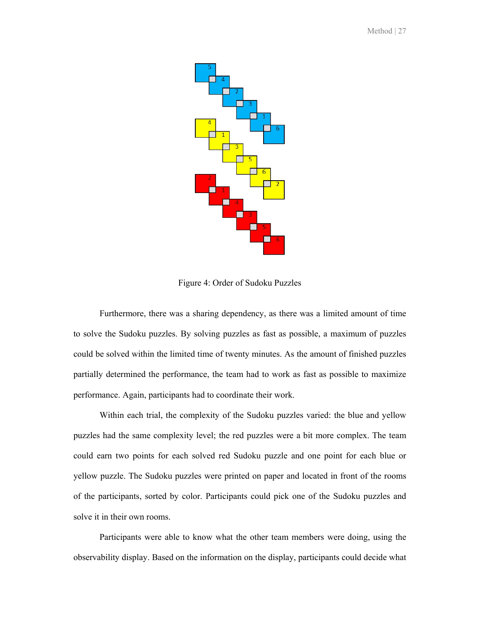

Figure 4: Order of Sudoku Puzzles

Furthermore, there was a sharing dependency, as there was a limited amount of time to solve the Sudoku puzzles. By solving puzzles as fast as possible, a maximum of puzzles could be solved within the limited time of twenty minutes. As the amount of finished puzzles partially determined the performance, the team had to work as fast as possible to maximize performance. Again, participants had to coordinate their work.

Within each trial, the complexity of the Sudoku puzzles varied: the blue and yellow puzzles had the same complexity level; the red puzzles were a bit more complex. The team could earn two points for each solved red Sudoku puzzle and one point for each blue or yellow puzzle. The Sudoku puzzles were printed on paper and located in front of the rooms of the participants, sorted by color. Participants could pick one of the Sudoku puzzles and solve it in their own rooms.

 Participants were able to know what the other team members were doing, using the observability display. Based on the information on the display, participants could decide what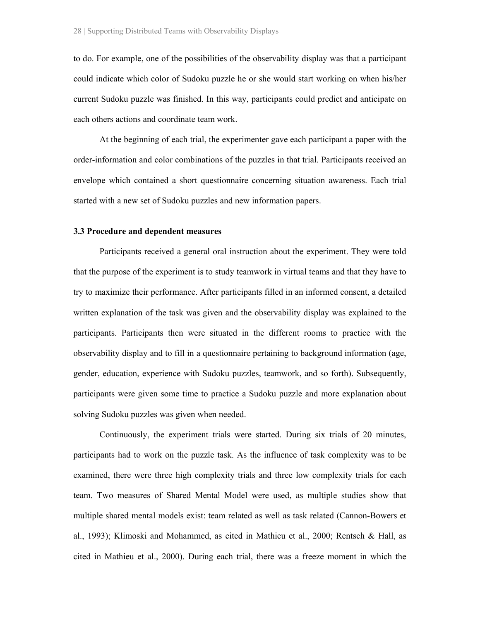to do. For example, one of the possibilities of the observability display was that a participant could indicate which color of Sudoku puzzle he or she would start working on when his/her current Sudoku puzzle was finished. In this way, participants could predict and anticipate on each others actions and coordinate team work.

 At the beginning of each trial, the experimenter gave each participant a paper with the order-information and color combinations of the puzzles in that trial. Participants received an envelope which contained a short questionnaire concerning situation awareness. Each trial started with a new set of Sudoku puzzles and new information papers.

#### **3.3 Procedure and dependent measures**

 Participants received a general oral instruction about the experiment. They were told that the purpose of the experiment is to study teamwork in virtual teams and that they have to try to maximize their performance. After participants filled in an informed consent, a detailed written explanation of the task was given and the observability display was explained to the participants. Participants then were situated in the different rooms to practice with the observability display and to fill in a questionnaire pertaining to background information (age, gender, education, experience with Sudoku puzzles, teamwork, and so forth). Subsequently, participants were given some time to practice a Sudoku puzzle and more explanation about solving Sudoku puzzles was given when needed.

 Continuously, the experiment trials were started. During six trials of 20 minutes, participants had to work on the puzzle task. As the influence of task complexity was to be examined, there were three high complexity trials and three low complexity trials for each team. Two measures of Shared Mental Model were used, as multiple studies show that multiple shared mental models exist: team related as well as task related (Cannon-Bowers et al., 1993); Klimoski and Mohammed, as cited in Mathieu et al., 2000; Rentsch & Hall, as cited in Mathieu et al., 2000). During each trial, there was a freeze moment in which the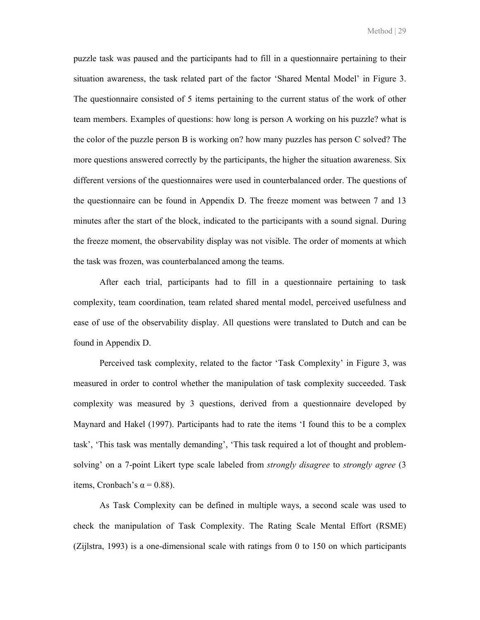Method | 29

puzzle task was paused and the participants had to fill in a questionnaire pertaining to their situation awareness, the task related part of the factor 'Shared Mental Model' in Figure 3. The questionnaire consisted of 5 items pertaining to the current status of the work of other team members. Examples of questions: how long is person A working on his puzzle? what is the color of the puzzle person B is working on? how many puzzles has person C solved? The more questions answered correctly by the participants, the higher the situation awareness. Six different versions of the questionnaires were used in counterbalanced order. The questions of the questionnaire can be found in Appendix D. The freeze moment was between 7 and 13 minutes after the start of the block, indicated to the participants with a sound signal. During the freeze moment, the observability display was not visible. The order of moments at which the task was frozen, was counterbalanced among the teams.

After each trial, participants had to fill in a questionnaire pertaining to task complexity, team coordination, team related shared mental model, perceived usefulness and ease of use of the observability display. All questions were translated to Dutch and can be found in Appendix D.

 Perceived task complexity, related to the factor 'Task Complexity' in Figure 3, was measured in order to control whether the manipulation of task complexity succeeded. Task complexity was measured by 3 questions, derived from a questionnaire developed by Maynard and Hakel (1997). Participants had to rate the items 'I found this to be a complex task', 'This task was mentally demanding', 'This task required a lot of thought and problemsolving' on a 7-point Likert type scale labeled from *strongly disagree* to *strongly agree* (3 items, Cronbach's  $\alpha$  = 0.88).

 As Task Complexity can be defined in multiple ways, a second scale was used to check the manipulation of Task Complexity. The Rating Scale Mental Effort (RSME) (Zijlstra, 1993) is a one-dimensional scale with ratings from 0 to 150 on which participants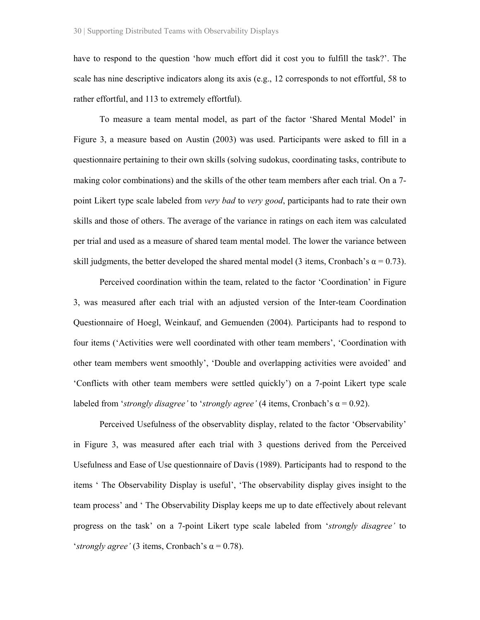have to respond to the question 'how much effort did it cost you to fulfill the task?'. The scale has nine descriptive indicators along its axis (e.g., 12 corresponds to not effortful, 58 to rather effortful, and 113 to extremely effortful).

 To measure a team mental model, as part of the factor 'Shared Mental Model' in Figure 3, a measure based on Austin (2003) was used. Participants were asked to fill in a questionnaire pertaining to their own skills (solving sudokus, coordinating tasks, contribute to making color combinations) and the skills of the other team members after each trial. On a 7 point Likert type scale labeled from *very bad* to *very good*, participants had to rate their own skills and those of others. The average of the variance in ratings on each item was calculated per trial and used as a measure of shared team mental model. The lower the variance between skill judgments, the better developed the shared mental model (3 items, Cronbach's  $\alpha = 0.73$ ).

 Perceived coordination within the team, related to the factor 'Coordination' in Figure 3, was measured after each trial with an adjusted version of the Inter-team Coordination Questionnaire of Hoegl, Weinkauf, and Gemuenden (2004). Participants had to respond to four items ('Activities were well coordinated with other team members', 'Coordination with other team members went smoothly', 'Double and overlapping activities were avoided' and 'Conflicts with other team members were settled quickly') on a 7-point Likert type scale labeled from *'strongly disagree'* to *'strongly agree'* (4 items, Cronbach's α = 0.92).

 Perceived Usefulness of the observablity display, related to the factor 'Observability' in Figure 3, was measured after each trial with 3 questions derived from the Perceived Usefulness and Ease of Use questionnaire of Davis (1989). Participants had to respond to the items ' The Observability Display is useful', 'The observability display gives insight to the team process' and ' The Observability Display keeps me up to date effectively about relevant progress on the task' on a 7-point Likert type scale labeled from '*strongly disagree'* to '*strongly agree'* (3 items, Cronbach's  $\alpha$  = 0.78).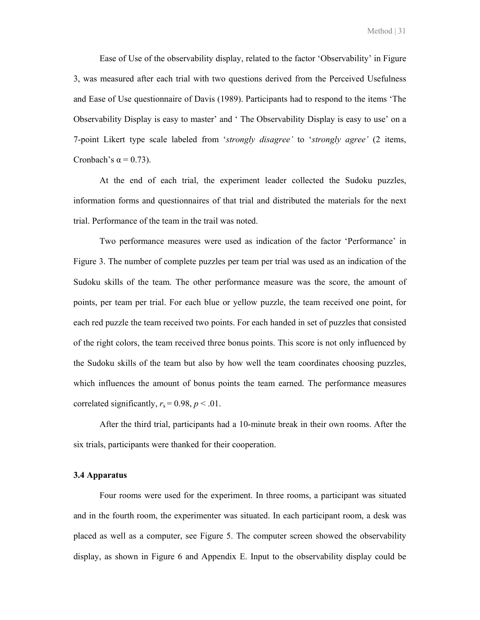Ease of Use of the observability display, related to the factor 'Observability' in Figure 3, was measured after each trial with two questions derived from the Perceived Usefulness and Ease of Use questionnaire of Davis (1989). Participants had to respond to the items 'The Observability Display is easy to master' and ' The Observability Display is easy to use' on a 7-point Likert type scale labeled from '*strongly disagree'* to '*strongly agree'* (2 items, Cronbach's  $\alpha$  = 0.73).

 At the end of each trial, the experiment leader collected the Sudoku puzzles, information forms and questionnaires of that trial and distributed the materials for the next trial. Performance of the team in the trail was noted.

 Two performance measures were used as indication of the factor 'Performance' in Figure 3. The number of complete puzzles per team per trial was used as an indication of the Sudoku skills of the team. The other performance measure was the score, the amount of points, per team per trial. For each blue or yellow puzzle, the team received one point, for each red puzzle the team received two points. For each handed in set of puzzles that consisted of the right colors, the team received three bonus points. This score is not only influenced by the Sudoku skills of the team but also by how well the team coordinates choosing puzzles, which influences the amount of bonus points the team earned. The performance measures correlated significantly,  $r_s = 0.98$ ,  $p < .01$ .

 After the third trial, participants had a 10-minute break in their own rooms. After the six trials, participants were thanked for their cooperation.

#### **3.4 Apparatus**

 Four rooms were used for the experiment. In three rooms, a participant was situated and in the fourth room, the experimenter was situated. In each participant room, a desk was placed as well as a computer, see Figure 5. The computer screen showed the observability display, as shown in Figure 6 and Appendix E. Input to the observability display could be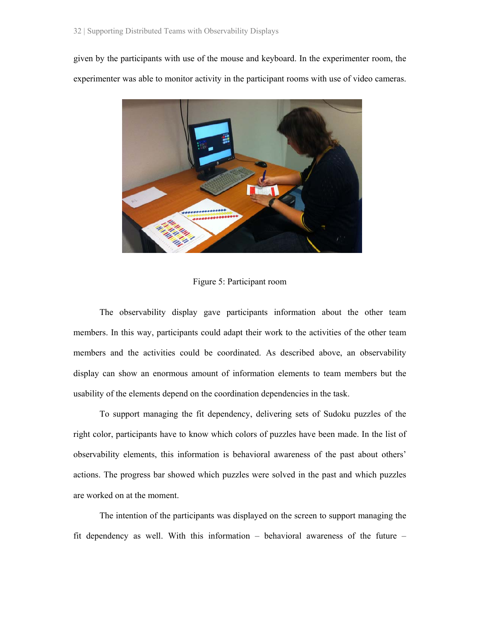given by the participants with use of the mouse and keyboard. In the experimenter room, the experimenter was able to monitor activity in the participant rooms with use of video cameras.



### Figure 5: Participant room

 The observability display gave participants information about the other team members. In this way, participants could adapt their work to the activities of the other team members and the activities could be coordinated. As described above, an observability display can show an enormous amount of information elements to team members but the usability of the elements depend on the coordination dependencies in the task.

 To support managing the fit dependency, delivering sets of Sudoku puzzles of the right color, participants have to know which colors of puzzles have been made. In the list of observability elements, this information is behavioral awareness of the past about others' actions. The progress bar showed which puzzles were solved in the past and which puzzles are worked on at the moment.

 The intention of the participants was displayed on the screen to support managing the fit dependency as well. With this information – behavioral awareness of the future –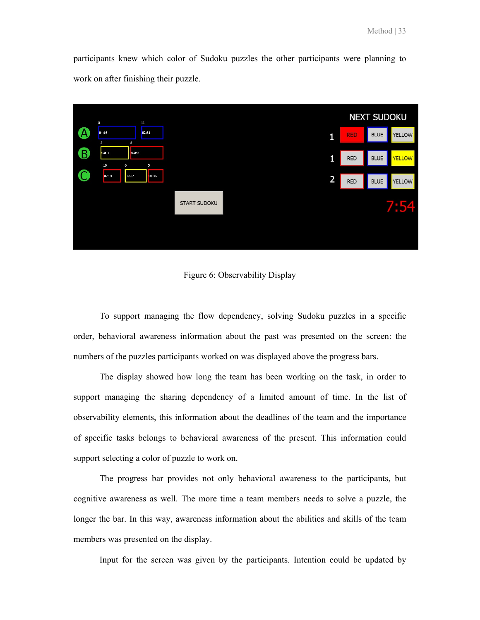participants knew which color of Sudoku puzzles the other participants were planning to work on after finishing their puzzle.



#### Figure 6: Observability Display

 To support managing the flow dependency, solving Sudoku puzzles in a specific order, behavioral awareness information about the past was presented on the screen: the numbers of the puzzles participants worked on was displayed above the progress bars.

 The display showed how long the team has been working on the task, in order to support managing the sharing dependency of a limited amount of time. In the list of observability elements, this information about the deadlines of the team and the importance of specific tasks belongs to behavioral awareness of the present. This information could support selecting a color of puzzle to work on.

 The progress bar provides not only behavioral awareness to the participants, but cognitive awareness as well. The more time a team members needs to solve a puzzle, the longer the bar. In this way, awareness information about the abilities and skills of the team members was presented on the display.

Input for the screen was given by the participants. Intention could be updated by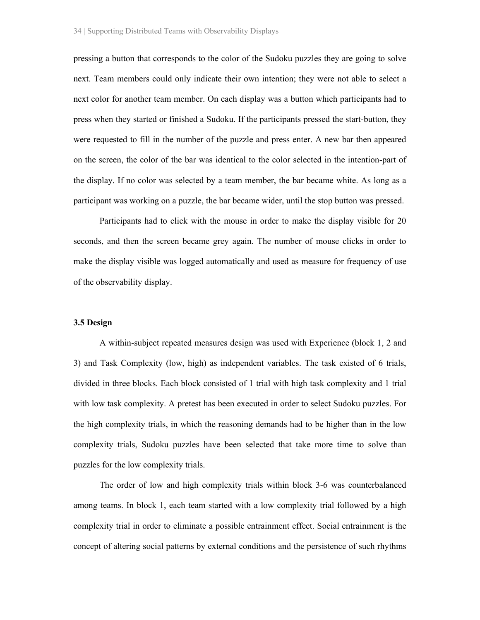pressing a button that corresponds to the color of the Sudoku puzzles they are going to solve next. Team members could only indicate their own intention; they were not able to select a next color for another team member. On each display was a button which participants had to press when they started or finished a Sudoku. If the participants pressed the start-button, they were requested to fill in the number of the puzzle and press enter. A new bar then appeared on the screen, the color of the bar was identical to the color selected in the intention-part of the display. If no color was selected by a team member, the bar became white. As long as a participant was working on a puzzle, the bar became wider, until the stop button was pressed.

 Participants had to click with the mouse in order to make the display visible for 20 seconds, and then the screen became grey again. The number of mouse clicks in order to make the display visible was logged automatically and used as measure for frequency of use of the observability display.

#### **3.5 Design**

 A within-subject repeated measures design was used with Experience (block 1, 2 and 3) and Task Complexity (low, high) as independent variables. The task existed of 6 trials, divided in three blocks. Each block consisted of 1 trial with high task complexity and 1 trial with low task complexity. A pretest has been executed in order to select Sudoku puzzles. For the high complexity trials, in which the reasoning demands had to be higher than in the low complexity trials, Sudoku puzzles have been selected that take more time to solve than puzzles for the low complexity trials.

 The order of low and high complexity trials within block 3-6 was counterbalanced among teams. In block 1, each team started with a low complexity trial followed by a high complexity trial in order to eliminate a possible entrainment effect. Social entrainment is the concept of altering social patterns by external conditions and the persistence of such rhythms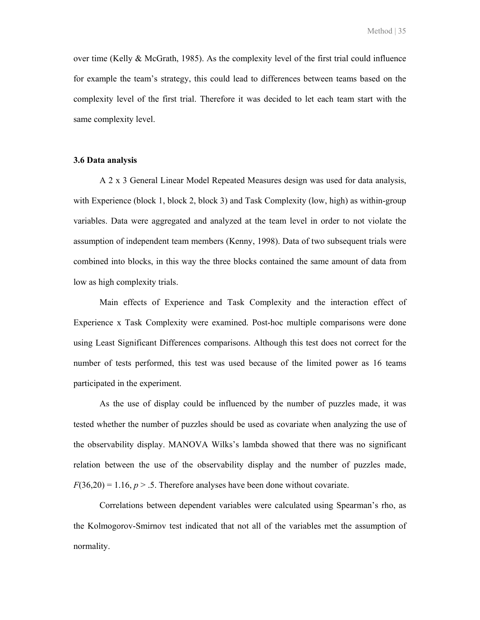Method | 35

over time (Kelly & McGrath, 1985). As the complexity level of the first trial could influence for example the team's strategy, this could lead to differences between teams based on the complexity level of the first trial. Therefore it was decided to let each team start with the same complexity level.

#### **3.6 Data analysis**

 A 2 x 3 General Linear Model Repeated Measures design was used for data analysis, with Experience (block 1, block 2, block 3) and Task Complexity (low, high) as within-group variables. Data were aggregated and analyzed at the team level in order to not violate the assumption of independent team members (Kenny, 1998). Data of two subsequent trials were combined into blocks, in this way the three blocks contained the same amount of data from low as high complexity trials.

 Main effects of Experience and Task Complexity and the interaction effect of Experience x Task Complexity were examined. Post-hoc multiple comparisons were done using Least Significant Differences comparisons. Although this test does not correct for the number of tests performed, this test was used because of the limited power as 16 teams participated in the experiment.

 As the use of display could be influenced by the number of puzzles made, it was tested whether the number of puzzles should be used as covariate when analyzing the use of the observability display. MANOVA Wilks's lambda showed that there was no significant relation between the use of the observability display and the number of puzzles made,  $F(36,20) = 1.16$ ,  $p > 0.5$ . Therefore analyses have been done without covariate.

 Correlations between dependent variables were calculated using Spearman's rho, as the Kolmogorov-Smirnov test indicated that not all of the variables met the assumption of normality.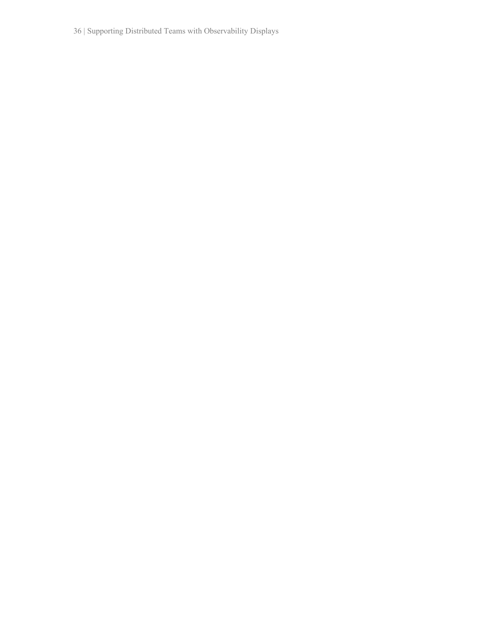36 | Supporting Distributed Teams with Observability Displays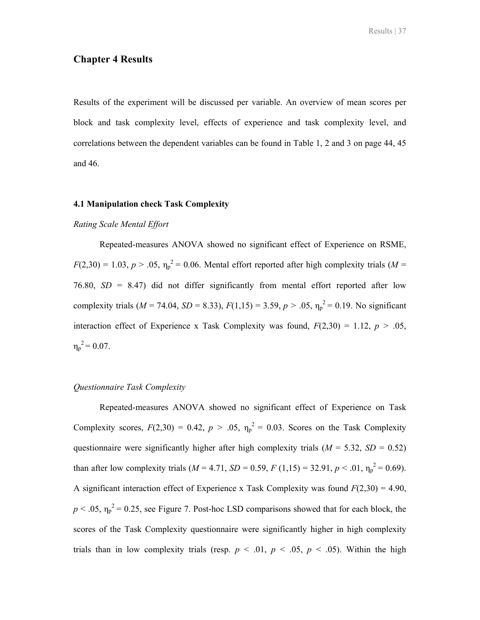# **Chapter 4 Results**

Results of the experiment will be discussed per variable. An overview of mean scores per block and task complexity level, effects of experience and task complexity level, and correlations between the dependent variables can be found in Table 1, 2 and 3 on page 44, 45 and 46.

# **4.1 Manipulation check Task Complexity**

### *Rating Scale Mental Effort*

 Repeated-measures ANOVA showed no significant effect of Experience on RSME,  $F(2,30) = 1.03, p > .05, \eta_p^2 = 0.06$ . Mental effort reported after high complexity trials (*M* = 76.80,  $SD = 8.47$ ) did not differ significantly from mental effort reported after low complexity trials ( $M = 74.04$ ,  $SD = 8.33$ ),  $F(1,15) = 3.59$ ,  $p > .05$ ,  $\eta_p^2 = 0.19$ . No significant interaction effect of Experience x Task Complexity was found,  $F(2,30) = 1.12$ ,  $p > .05$ ,  $\eta_p^2 = 0.07$ .

### *Questionnaire Task Complexity*

 Repeated-measures ANOVA showed no significant effect of Experience on Task Complexity scores,  $F(2,30) = 0.42$ ,  $p > .05$ ,  $\eta_p^2 = 0.03$ . Scores on the Task Complexity questionnaire were significantly higher after high complexity trials ( $M = 5.32$ ,  $SD = 0.52$ ) than after low complexity trials  $(M = 4.71, SD = 0.59, F(1,15) = 32.91, p < .01, \eta_p^2 = 0.69)$ . A significant interaction effect of Experience x Task Complexity was found  $F(2,30) = 4.90$ ,  $p < .05$ ,  $\eta_p^2 = 0.25$ , see Figure 7. Post-hoc LSD comparisons showed that for each block, the scores of the Task Complexity questionnaire were significantly higher in high complexity trials than in low complexity trials (resp.  $p < .01$ ,  $p < .05$ ,  $p < .05$ ). Within the high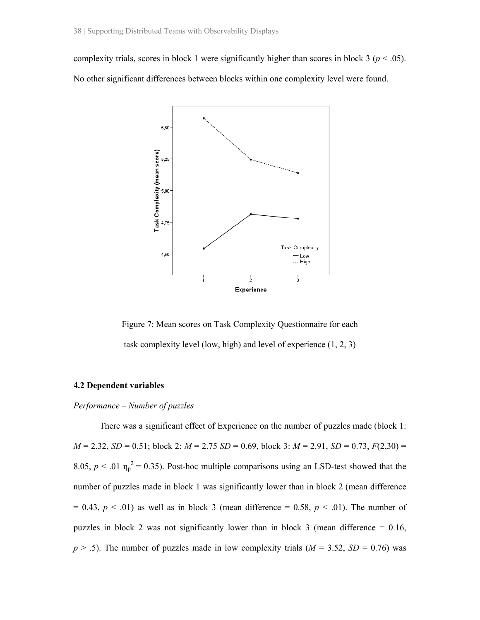complexity trials, scores in block 1 were significantly higher than scores in block 3 ( $p < .05$ ). No other significant differences between blocks within one complexity level were found.



Figure 7: Mean scores on Task Complexity Questionnaire for each task complexity level (low, high) and level of experience (1, 2, 3)

# **4.2 Dependent variables**

### *Performance – Number of puzzles*

 There was a significant effect of Experience on the number of puzzles made (block 1:  $M = 2.32$ ,  $SD = 0.51$ ; block 2:  $M = 2.75$   $SD = 0.69$ , block 3:  $M = 2.91$ ,  $SD = 0.73$ ,  $F(2,30) =$ 8.05,  $p < 0.01$   $\eta_p^2 = 0.35$ ). Post-hoc multiple comparisons using an LSD-test showed that the number of puzzles made in block 1 was significantly lower than in block 2 (mean difference  $= 0.43$ ,  $p < .01$ ) as well as in block 3 (mean difference  $= 0.58$ ,  $p < .01$ ). The number of puzzles in block 2 was not significantly lower than in block 3 (mean difference  $= 0.16$ ,  $p > .5$ ). The number of puzzles made in low complexity trials ( $M = 3.52$ ,  $SD = 0.76$ ) was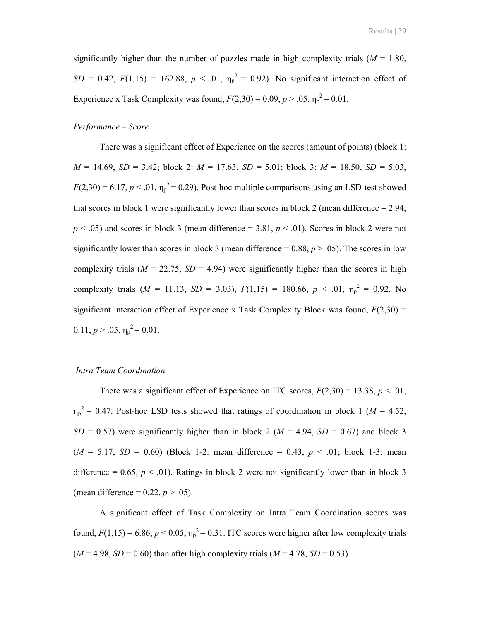significantly higher than the number of puzzles made in high complexity trials  $(M = 1.80)$ ,  $SD = 0.42$ ,  $F(1,15) = 162.88$ ,  $p < .01$ ,  $\eta_p^2 = 0.92$ ). No significant interaction effect of Experience x Task Complexity was found,  $F(2,30) = 0.09, p > .05, \eta_p^2 = 0.01$ .

# *Performance – Score*

 There was a significant effect of Experience on the scores (amount of points) (block 1: *M* = 14.69, *SD* = 3.42; block 2: *M* = 17.63, *SD* = 5.01; block 3: *M* = 18.50, *SD* = 5.03,  $F(2,30) = 6.17, p < .01, \eta_p^2 = 0.29$ . Post-hoc multiple comparisons using an LSD-test showed that scores in block 1 were significantly lower than scores in block 2 (mean difference  $= 2.94$ ,  $p < .05$ ) and scores in block 3 (mean difference = 3.81,  $p < .01$ ). Scores in block 2 were not significantly lower than scores in block 3 (mean difference  $= 0.88$ ,  $p > .05$ ). The scores in low complexity trials ( $M = 22.75$ ,  $SD = 4.94$ ) were significantly higher than the scores in high complexity trials  $(M = 11.13, SD = 3.03)$ ,  $F(1,15) = 180.66, p < .01, \eta_p^2 = 0.92$ . No significant interaction effect of Experience x Task Complexity Block was found,  $F(2,30)$  =  $0.11, p > .05, \eta_p^2 = 0.01$ .

#### *Intra Team Coordination*

There was a significant effect of Experience on ITC scores,  $F(2,30) = 13.38$ ,  $p < .01$ ,  $\eta_p^2 = 0.47$ . Post-hoc LSD tests showed that ratings of coordination in block 1 (*M* = 4.52, *SD* = 0.57) were significantly higher than in block 2 ( $M = 4.94$ , *SD* = 0.67) and block 3  $(M = 5.17, SD = 0.60)$  (Block 1-2: mean difference = 0.43,  $p < .01$ ; block 1-3: mean difference =  $0.65$ ,  $p < .01$ ). Ratings in block 2 were not significantly lower than in block 3 (mean difference =  $0.22, p > .05$ ).

 A significant effect of Task Complexity on Intra Team Coordination scores was found,  $F(1,15) = 6.86$ ,  $p < 0.05$ ,  $\eta_p^2 = 0.31$ . ITC scores were higher after low complexity trials  $(M = 4.98, SD = 0.60)$  than after high complexity trials  $(M = 4.78, SD = 0.53)$ .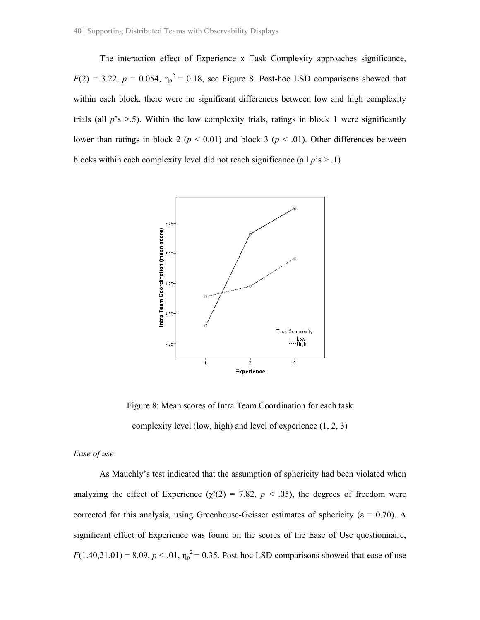The interaction effect of Experience x Task Complexity approaches significance,  $F(2) = 3.22$ ,  $p = 0.054$ ,  $\eta_p^2 = 0.18$ , see Figure 8. Post-hoc LSD comparisons showed that within each block, there were no significant differences between low and high complexity trials (all  $p$ 's  $> 0.5$ ). Within the low complexity trials, ratings in block 1 were significantly lower than ratings in block 2 ( $p < 0.01$ ) and block 3 ( $p < .01$ ). Other differences between blocks within each complexity level did not reach significance (all  $p$ 's  $>$  .1)



Figure 8: Mean scores of Intra Team Coordination for each task complexity level (low, high) and level of experience (1, 2, 3)

# *Ease of use*

 As Mauchly's test indicated that the assumption of sphericity had been violated when analyzing the effect of Experience ( $\chi^2(2) = 7.82$ ,  $p < .05$ ), the degrees of freedom were corrected for this analysis, using Greenhouse-Geisser estimates of sphericity ( $\epsilon$  = 0.70). A significant effect of Experience was found on the scores of the Ease of Use questionnaire,  $F(1.40,21.01) = 8.09, p < .01, \eta_p^2 = 0.35$ . Post-hoc LSD comparisons showed that ease of use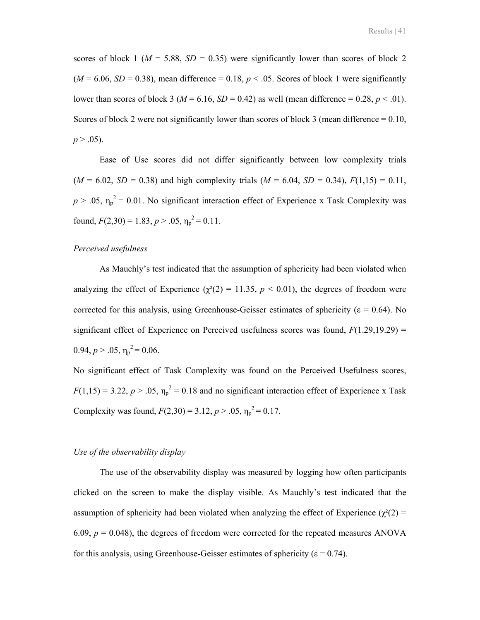scores of block 1 ( $M = 5.88$ ,  $SD = 0.35$ ) were significantly lower than scores of block 2  $(M = 6.06, SD = 0.38)$ , mean difference = 0.18,  $p < .05$ . Scores of block 1 were significantly lower than scores of block 3 ( $M = 6.16$ ,  $SD = 0.42$ ) as well (mean difference = 0.28,  $p < .01$ ). Scores of block 2 were not significantly lower than scores of block 3 (mean difference  $= 0.10$ ,  $p > .05$ ).

 Ease of Use scores did not differ significantly between low complexity trials  $(M = 6.02, SD = 0.38)$  and high complexity trials  $(M = 6.04, SD = 0.34)$ ,  $F(1,15) = 0.11$ ,  $p > .05$ ,  $\eta_p^2 = 0.01$ . No significant interaction effect of Experience x Task Complexity was found,  $F(2,30) = 1.83$ ,  $p > .05$ ,  $\eta_p^2 = 0.11$ .

#### *Perceived usefulness*

 As Mauchly's test indicated that the assumption of sphericity had been violated when analyzing the effect of Experience  $(\chi^2(2) = 11.35, p \le 0.01)$ , the degrees of freedom were corrected for this analysis, using Greenhouse-Geisser estimates of sphericity ( $\epsilon$  = 0.64). No significant effect of Experience on Perceived usefulness scores was found,  $F(1.29,19.29)$  = 0.94,  $p > .05$ ,  $\eta_p^2 = 0.06$ .

No significant effect of Task Complexity was found on the Perceived Usefulness scores,  $F(1,15) = 3.22, p > .05, \eta_p^2 = 0.18$  and no significant interaction effect of Experience x Task Complexity was found,  $F(2,30) = 3.12$ ,  $p > .05$ ,  $\eta_p^2 = 0.17$ .

### *Use of the observability display*

 The use of the observability display was measured by logging how often participants clicked on the screen to make the display visible. As Mauchly's test indicated that the assumption of sphericity had been violated when analyzing the effect of Experience ( $\chi^2(2)$  = 6.09,  $p = 0.048$ ), the degrees of freedom were corrected for the repeated measures ANOVA for this analysis, using Greenhouse-Geisser estimates of sphericity ( $\varepsilon = 0.74$ ).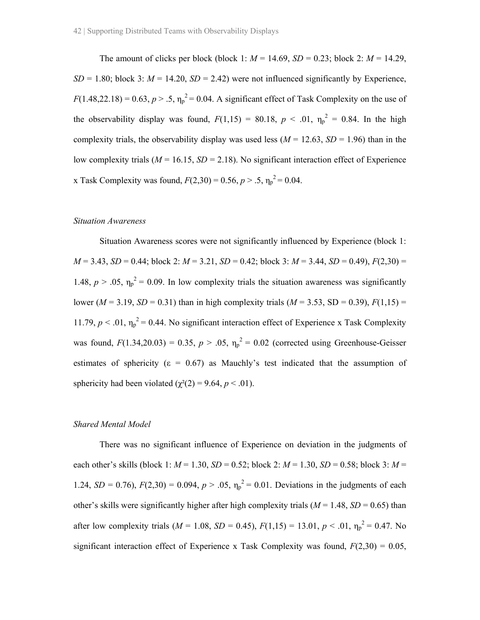The amount of clicks per block (block 1:  $M = 14.69$ ,  $SD = 0.23$ ; block 2:  $M = 14.29$ ,  $SD = 1.80$ ; block 3:  $M = 14.20$ ,  $SD = 2.42$ ) were not influenced significantly by Experience,  $F(1.48,22.18) = 0.63, p > .5, \eta_p^2 = 0.04$ . A significant effect of Task Complexity on the use of the observability display was found,  $F(1,15) = 80.18$ ,  $p < .01$ ,  $\eta_p^2 = 0.84$ . In the high complexity trials, the observability display was used less  $(M = 12.63, SD = 1.96)$  than in the low complexity trials  $(M = 16.15, SD = 2.18)$ . No significant interaction effect of Experience x Task Complexity was found,  $F(2,30) = 0.56$ ,  $p > .5$ ,  $\eta_p^2 = 0.04$ .

#### *Situation Awareness*

 Situation Awareness scores were not significantly influenced by Experience (block 1:  $M = 3.43$ ,  $SD = 0.44$ ; block 2:  $M = 3.21$ ,  $SD = 0.42$ ; block 3:  $M = 3.44$ ,  $SD = 0.49$ ),  $F(2,30) =$ 1.48,  $p > 0.05$ ,  $\eta_p^2 = 0.09$ . In low complexity trials the situation awareness was significantly lower ( $M = 3.19$ ,  $SD = 0.31$ ) than in high complexity trials ( $M = 3.53$ ,  $SD = 0.39$ ),  $F(1,15) =$ 11.79,  $p < 0.01$ ,  $\eta_p^2 = 0.44$ . No significant interaction effect of Experience x Task Complexity was found,  $F(1.34,20.03) = 0.35$ ,  $p > .05$ ,  $\eta_p^2 = 0.02$  (corrected using Greenhouse-Geisser estimates of sphericity ( $\varepsilon = 0.67$ ) as Mauchly's test indicated that the assumption of sphericity had been violated ( $\chi^2(2) = 9.64$ ,  $p < .01$ ).

#### *Shared Mental Model*

 There was no significant influence of Experience on deviation in the judgments of each other's skills (block 1:  $M = 1.30$ ,  $SD = 0.52$ ; block 2:  $M = 1.30$ ,  $SD = 0.58$ ; block 3:  $M =$ 1.24, *SD* = 0.76),  $F(2,30) = 0.094$ ,  $p > .05$ ,  $\eta_p^2 = 0.01$ . Deviations in the judgments of each other's skills were significantly higher after high complexity trials  $(M = 1.48, SD = 0.65)$  than after low complexity trials ( $M = 1.08$ ,  $SD = 0.45$ ),  $F(1,15) = 13.01$ ,  $p < .01$ ,  $\eta_p^2 = 0.47$ . No significant interaction effect of Experience x Task Complexity was found,  $F(2,30) = 0.05$ ,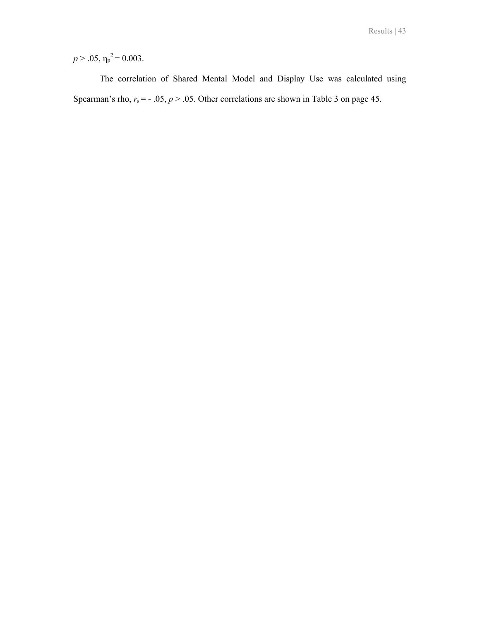$p > .05$ ,  $\eta_p^2 = 0.003$ .

 The correlation of Shared Mental Model and Display Use was calculated using Spearman's rho,  $r_s = -0.05$ ,  $p > 0.05$ . Other correlations are shown in Table 3 on page 45.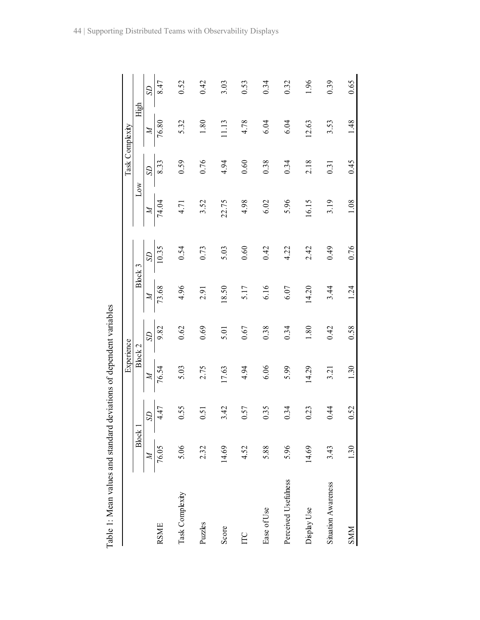Table 1: Mean values and standard deviations of dependent variables Table 1: Mean values and standard deviations of dependent variables

|                             |              |      | Experience            |                |              |           |       | Task Complexity |             |           |
|-----------------------------|--------------|------|-----------------------|----------------|--------------|-----------|-------|-----------------|-------------|-----------|
|                             | Block 1      |      | Block 2               |                | Block 3      |           | Low   |                 | <u>High</u> |           |
|                             | $\mathbb{Z}$ | SD   | $\cancel{\mathbb{Z}}$ | S <sub>D</sub> | $\mathbb{Z}$ | <b>SD</b> |       | S <sub>D</sub>  |             | <b>SD</b> |
| <b>RSME</b>                 | 76.05        | 4.47 | 76.54                 | 9.82           | 73.68        | 10.35     | 74.04 | 8.33            | 76.80       | 8.47      |
| Task Complexity             | 5.06         | 0.55 | 5.03                  | 0.62           | 4.96         | 0.54      | 4.71  | 0.59            | 5.32        | 0.52      |
| Puzzles                     | 2.32         | 0.51 | 2.75                  | 0.69           | 2.91         | 0.73      | 3.52  | 0.76            | 1.80        | 0.42      |
| Score                       | 14.69        | 3.42 | 17.63                 | 5.01           | 18.50        | 5.03      | 22.75 | 4.94            | 1113        | 3.03      |
| ITC                         | 4.52         | 0.57 | 4.94                  | 0.67           | 5.17         | 0.60      | 4.98  | 0.60            | 4.78        | 0.53      |
| Ease of Use                 | 5.88         | 0.35 | 6.06                  | 0.38           | 6.16         | 0.42      | 6.02  | 0.38            | 6.04        | 0.34      |
| Perceived Usefulness        | 5.96         | 0.34 | 5.99                  | 0.34           | 6.07         | 4.22      | 5.96  | 0.34            | 6.04        | 0.32      |
| Display Use                 | 14.69        | 0.23 | 14.29                 | 1.80           | 14.20        | 2.42      | 16.15 | 2.18            | 12.63       | 1.96      |
| <b>S</b> ituation Awareness | 3.43         | 0.44 | 3.21                  | 0.42           | 3.44         | 64.0      | 3.19  | 0.31            | 3.53        | 0.39      |
| <b>NNS</b>                  | 1.30         | 0.52 | 1.30                  | 0.58           | 1.24         | 0.76      | 1.08  | 0.45            | 1.48        | 0.65      |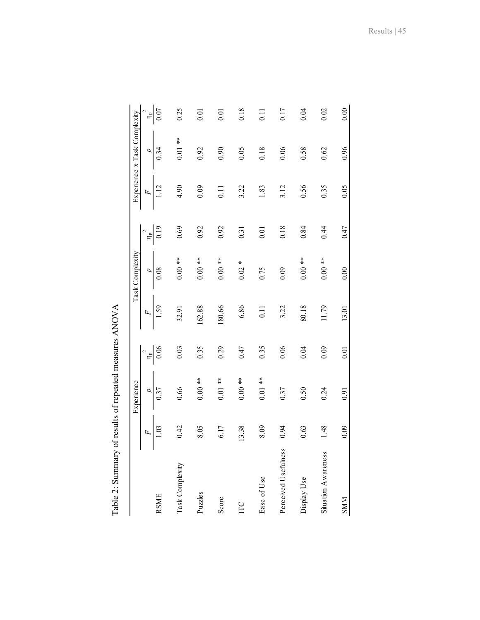| ,<br>,<br>,<br>l |
|------------------|
|                  |
| ı<br>ł           |
| l                |
| Ì                |
|                  |

|                      |              | Experience     |               |        | Task Complexity |            |                   | Experience x Task Complexity |                                 |
|----------------------|--------------|----------------|---------------|--------|-----------------|------------|-------------------|------------------------------|---------------------------------|
|                      | $\mathbf{r}$ | $\overline{d}$ | $n_{\rm p}^2$ | 4      | $\overline{b}$  | $\eta_P^2$ | $\overline{r}$    | $\overline{d}$               | $\frac{\eta_{\rm p}^2}{0.07}$   |
| <b>RSME</b>          | 1.03         | 0.37           | 0.06          | 1.59   | $0.08\,$        | 0.19       | 1.12              | 0.34                         |                                 |
| Task Complexity      | 0.42         | 0.66           | 0.03          | 32.91  | $0.00**$        | 0.69       | 4.90              | $0.01**$                     | 0.25                            |
| Puzzles              | 8.05         | $0.00**$       | 0.35          | 162.88 | $0.00*$         | 0.92       | 0.09              | 0.92                         | 0.01                            |
| Score                | 6.17         | $0.01**$       | 0.29          | 180.66 | $0.00**$        | 0.92       | $\overline{0.11}$ | 0.90                         | 0.01                            |
| <b>DLI</b>           | 13.38        | $0.00**$       | 0.47          | 6.86   | ∗<br>0.02       | 0.31       | 3.22              | 0.05                         | 0.18                            |
| Ease of Use          | 8.09         | $0.01**$       | 0.35          | 0.11   | 0.75            | 0.01       | 1.83              | 0.18                         | $\overline{0}$ . $\overline{1}$ |
| Perceived Usefulness | 0.94         | 0.37           | 0.06          | 3.22   | 0.09            | 0.18       | 3.12              | 0.06                         | 0.17                            |
| Display Use          | 0.63         | 0.50           | 0.04          | 80.18  | $0.00**$        | 0.84       | 0.56              | 0.58                         | 0.04                            |
| Situation Awareness  | 1.48         | 0.24           | 0.09          | 11.79  | $0.00**$        | 0.44       | 0.35              | 0.62                         | 0.02                            |
| <b>NNS</b>           | 0.09         | <b>160</b>     | 0.01          | 13.01  | 0.00            | 0.47       | 0.05              | 0.96                         | 0.00                            |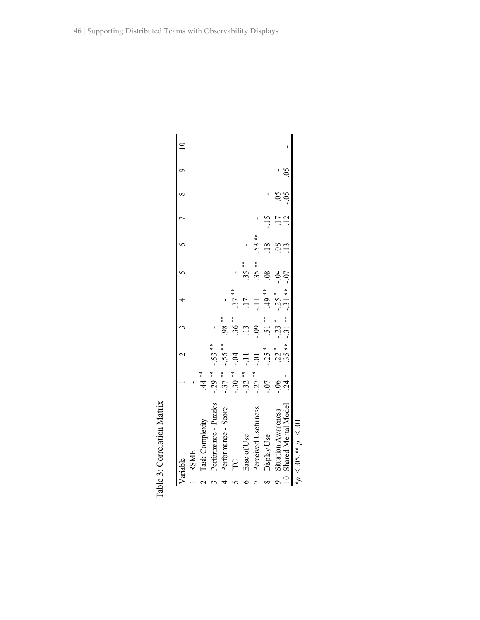|            | Variable                |            | $\frac{2}{\sqrt{2}}$ | $\tilde{\phantom{a}}$ | $\frac{4}{\sqrt{2}}$ | $5\phantom{.00000}\phantom{.0}5$ |                 | $\overline{a}$ | $\infty$ | $\circ$            |  |
|------------|-------------------------|------------|----------------------|-----------------------|----------------------|----------------------------------|-----------------|----------------|----------|--------------------|--|
|            | <b>RSME</b>             |            |                      |                       |                      |                                  |                 |                |          |                    |  |
|            | Task Complexity         | $\ddot{4}$ |                      |                       |                      |                                  |                 |                |          |                    |  |
|            | Performance - Puzzles   | $-29$ **   | $-.53$ **            |                       |                      |                                  |                 |                |          |                    |  |
|            | Performance - Score     | $-37$ **   | $-.55**$             | .98                   |                      |                                  |                 |                |          |                    |  |
|            | $\sum_{i=1}^{n}$        | $-30**$    | $-0.4$               | $36**$                | $.37***$             |                                  |                 |                |          |                    |  |
|            | Ease of Use             | $-.32**$   |                      | $\overline{13}$       |                      | $.35**$                          |                 |                |          |                    |  |
|            | Perceived Usefulness    | $-27$ **   | $-0.1$               | $60 -$                | $\frac{1}{2}$        | $.35**$                          | $.53**$         |                |          |                    |  |
|            | <b>Display Use</b>      |            | $-0.25$              | $51**$                | $49**$               | 08                               | $\frac{8}{18}$  |                |          |                    |  |
|            | Situation Awareness     |            | $.22$ *              | $-23$ *               | $-25$                | $-0.4$                           | $\overline{08}$ |                |          |                    |  |
|            | Shared Mental Model     | $.24 *$    | $.35**$              |                       | $-31** -31**$        |                                  |                 |                | $-0.5$   | $\widetilde{5}0$ . |  |
| $\sim a_*$ | $< 0.05$ .** $p < 0.01$ |            |                      |                       |                      |                                  |                 |                |          |                    |  |

Table 3: Correlation Matrix Table 3: Correlation Matrix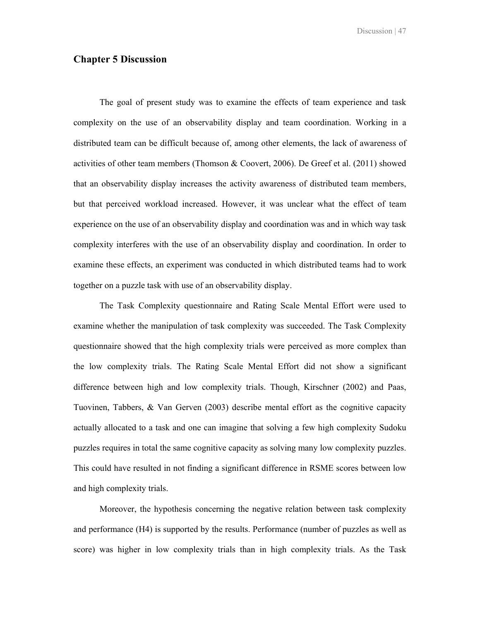Discussion | 47

# **Chapter 5 Discussion**

The goal of present study was to examine the effects of team experience and task complexity on the use of an observability display and team coordination. Working in a distributed team can be difficult because of, among other elements, the lack of awareness of activities of other team members (Thomson & Coovert, 2006). De Greef et al. (2011) showed that an observability display increases the activity awareness of distributed team members, but that perceived workload increased. However, it was unclear what the effect of team experience on the use of an observability display and coordination was and in which way task complexity interferes with the use of an observability display and coordination. In order to examine these effects, an experiment was conducted in which distributed teams had to work together on a puzzle task with use of an observability display.

 The Task Complexity questionnaire and Rating Scale Mental Effort were used to examine whether the manipulation of task complexity was succeeded. The Task Complexity questionnaire showed that the high complexity trials were perceived as more complex than the low complexity trials. The Rating Scale Mental Effort did not show a significant difference between high and low complexity trials. Though, Kirschner (2002) and Paas, Tuovinen, Tabbers, & Van Gerven (2003) describe mental effort as the cognitive capacity actually allocated to a task and one can imagine that solving a few high complexity Sudoku puzzles requires in total the same cognitive capacity as solving many low complexity puzzles. This could have resulted in not finding a significant difference in RSME scores between low and high complexity trials.

 Moreover, the hypothesis concerning the negative relation between task complexity and performance (H4) is supported by the results. Performance (number of puzzles as well as score) was higher in low complexity trials than in high complexity trials. As the Task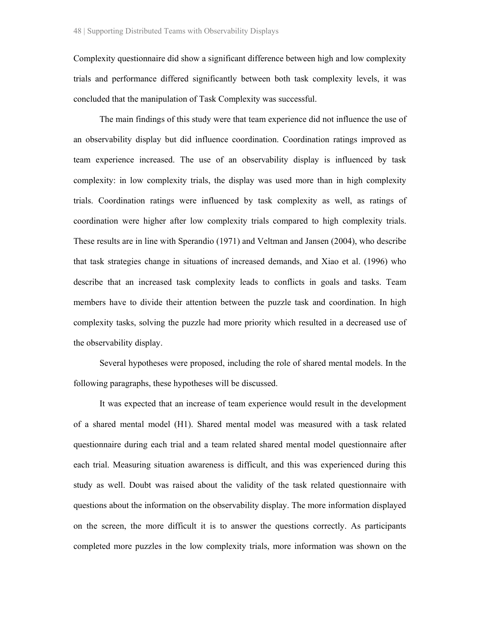Complexity questionnaire did show a significant difference between high and low complexity trials and performance differed significantly between both task complexity levels, it was concluded that the manipulation of Task Complexity was successful.

 The main findings of this study were that team experience did not influence the use of an observability display but did influence coordination. Coordination ratings improved as team experience increased. The use of an observability display is influenced by task complexity: in low complexity trials, the display was used more than in high complexity trials. Coordination ratings were influenced by task complexity as well, as ratings of coordination were higher after low complexity trials compared to high complexity trials. These results are in line with Sperandio (1971) and Veltman and Jansen (2004), who describe that task strategies change in situations of increased demands, and Xiao et al. (1996) who describe that an increased task complexity leads to conflicts in goals and tasks. Team members have to divide their attention between the puzzle task and coordination. In high complexity tasks, solving the puzzle had more priority which resulted in a decreased use of the observability display.

 Several hypotheses were proposed, including the role of shared mental models. In the following paragraphs, these hypotheses will be discussed.

 It was expected that an increase of team experience would result in the development of a shared mental model (H1). Shared mental model was measured with a task related questionnaire during each trial and a team related shared mental model questionnaire after each trial. Measuring situation awareness is difficult, and this was experienced during this study as well. Doubt was raised about the validity of the task related questionnaire with questions about the information on the observability display. The more information displayed on the screen, the more difficult it is to answer the questions correctly. As participants completed more puzzles in the low complexity trials, more information was shown on the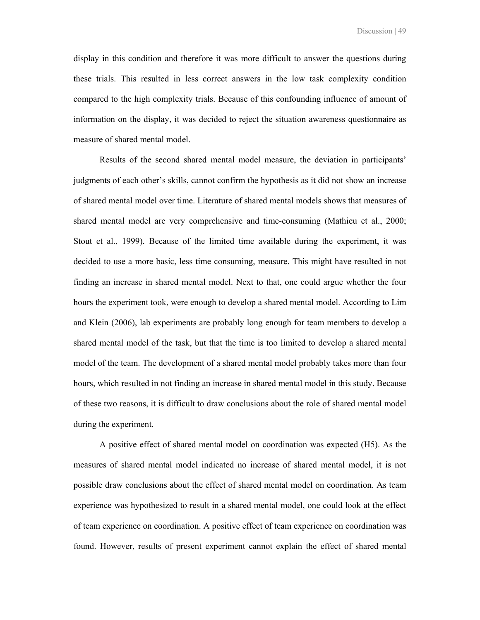Discussion | 49

display in this condition and therefore it was more difficult to answer the questions during these trials. This resulted in less correct answers in the low task complexity condition compared to the high complexity trials. Because of this confounding influence of amount of information on the display, it was decided to reject the situation awareness questionnaire as measure of shared mental model.

 Results of the second shared mental model measure, the deviation in participants' judgments of each other's skills, cannot confirm the hypothesis as it did not show an increase of shared mental model over time. Literature of shared mental models shows that measures of shared mental model are very comprehensive and time-consuming (Mathieu et al., 2000; Stout et al., 1999). Because of the limited time available during the experiment, it was decided to use a more basic, less time consuming, measure. This might have resulted in not finding an increase in shared mental model. Next to that, one could argue whether the four hours the experiment took, were enough to develop a shared mental model. According to Lim and Klein (2006), lab experiments are probably long enough for team members to develop a shared mental model of the task, but that the time is too limited to develop a shared mental model of the team. The development of a shared mental model probably takes more than four hours, which resulted in not finding an increase in shared mental model in this study. Because of these two reasons, it is difficult to draw conclusions about the role of shared mental model during the experiment.

 A positive effect of shared mental model on coordination was expected (H5). As the measures of shared mental model indicated no increase of shared mental model, it is not possible draw conclusions about the effect of shared mental model on coordination. As team experience was hypothesized to result in a shared mental model, one could look at the effect of team experience on coordination. A positive effect of team experience on coordination was found. However, results of present experiment cannot explain the effect of shared mental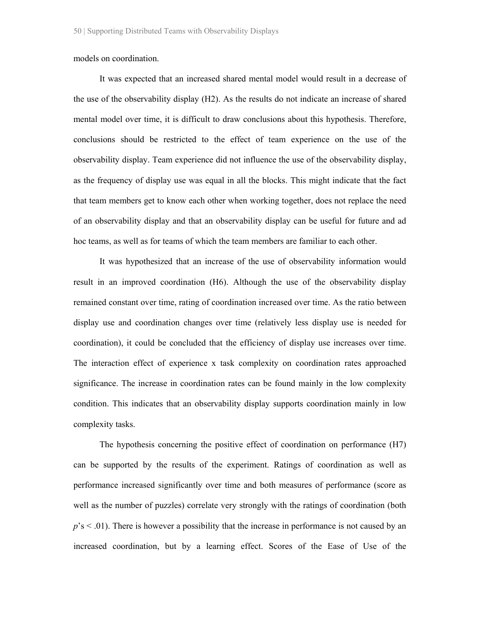models on coordination.

 It was expected that an increased shared mental model would result in a decrease of the use of the observability display (H2). As the results do not indicate an increase of shared mental model over time, it is difficult to draw conclusions about this hypothesis. Therefore, conclusions should be restricted to the effect of team experience on the use of the observability display. Team experience did not influence the use of the observability display, as the frequency of display use was equal in all the blocks. This might indicate that the fact that team members get to know each other when working together, does not replace the need of an observability display and that an observability display can be useful for future and ad hoc teams, as well as for teams of which the team members are familiar to each other.

It was hypothesized that an increase of the use of observability information would result in an improved coordination (H6). Although the use of the observability display remained constant over time, rating of coordination increased over time. As the ratio between display use and coordination changes over time (relatively less display use is needed for coordination), it could be concluded that the efficiency of display use increases over time. The interaction effect of experience x task complexity on coordination rates approached significance. The increase in coordination rates can be found mainly in the low complexity condition. This indicates that an observability display supports coordination mainly in low complexity tasks.

 The hypothesis concerning the positive effect of coordination on performance (H7) can be supported by the results of the experiment. Ratings of coordination as well as performance increased significantly over time and both measures of performance (score as well as the number of puzzles) correlate very strongly with the ratings of coordination (both p's < .01). There is however a possibility that the increase in performance is not caused by an increased coordination, but by a learning effect. Scores of the Ease of Use of the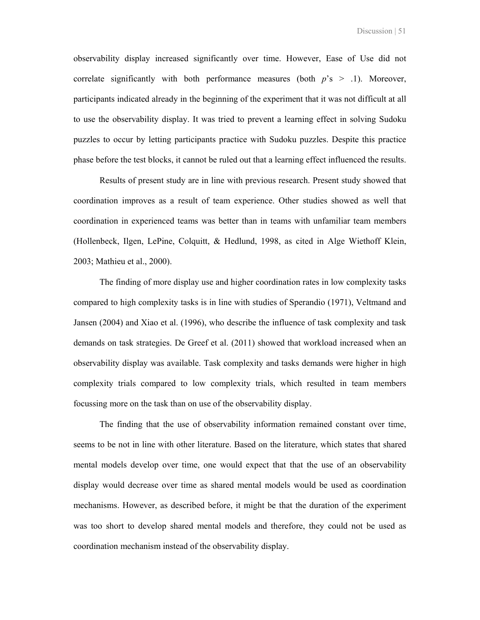observability display increased significantly over time. However, Ease of Use did not correlate significantly with both performance measures (both  $p$ 's  $>$  .1). Moreover, participants indicated already in the beginning of the experiment that it was not difficult at all to use the observability display. It was tried to prevent a learning effect in solving Sudoku puzzles to occur by letting participants practice with Sudoku puzzles. Despite this practice phase before the test blocks, it cannot be ruled out that a learning effect influenced the results.

 Results of present study are in line with previous research. Present study showed that coordination improves as a result of team experience. Other studies showed as well that coordination in experienced teams was better than in teams with unfamiliar team members (Hollenbeck, Ilgen, LePine, Colquitt, & Hedlund, 1998, as cited in Alge Wiethoff Klein, 2003; Mathieu et al., 2000).

 The finding of more display use and higher coordination rates in low complexity tasks compared to high complexity tasks is in line with studies of Sperandio (1971), Veltmand and Jansen (2004) and Xiao et al. (1996), who describe the influence of task complexity and task demands on task strategies. De Greef et al. (2011) showed that workload increased when an observability display was available. Task complexity and tasks demands were higher in high complexity trials compared to low complexity trials, which resulted in team members focussing more on the task than on use of the observability display.

 The finding that the use of observability information remained constant over time, seems to be not in line with other literature. Based on the literature, which states that shared mental models develop over time, one would expect that that the use of an observability display would decrease over time as shared mental models would be used as coordination mechanisms. However, as described before, it might be that the duration of the experiment was too short to develop shared mental models and therefore, they could not be used as coordination mechanism instead of the observability display.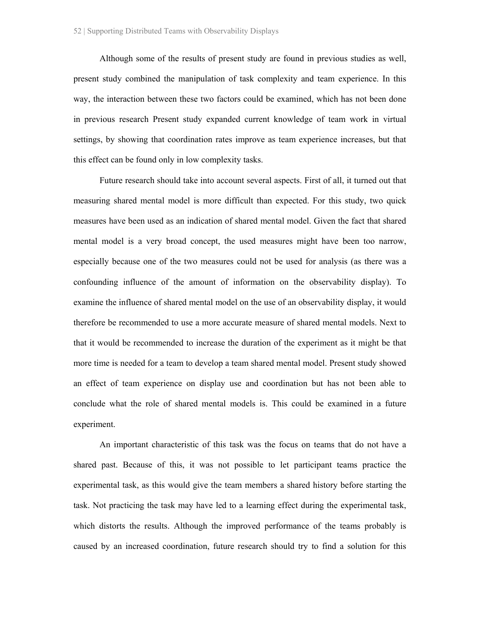Although some of the results of present study are found in previous studies as well, present study combined the manipulation of task complexity and team experience. In this way, the interaction between these two factors could be examined, which has not been done in previous research Present study expanded current knowledge of team work in virtual settings, by showing that coordination rates improve as team experience increases, but that this effect can be found only in low complexity tasks.

 Future research should take into account several aspects. First of all, it turned out that measuring shared mental model is more difficult than expected. For this study, two quick measures have been used as an indication of shared mental model. Given the fact that shared mental model is a very broad concept, the used measures might have been too narrow, especially because one of the two measures could not be used for analysis (as there was a confounding influence of the amount of information on the observability display). To examine the influence of shared mental model on the use of an observability display, it would therefore be recommended to use a more accurate measure of shared mental models. Next to that it would be recommended to increase the duration of the experiment as it might be that more time is needed for a team to develop a team shared mental model. Present study showed an effect of team experience on display use and coordination but has not been able to conclude what the role of shared mental models is. This could be examined in a future experiment.

 An important characteristic of this task was the focus on teams that do not have a shared past. Because of this, it was not possible to let participant teams practice the experimental task, as this would give the team members a shared history before starting the task. Not practicing the task may have led to a learning effect during the experimental task, which distorts the results. Although the improved performance of the teams probably is caused by an increased coordination, future research should try to find a solution for this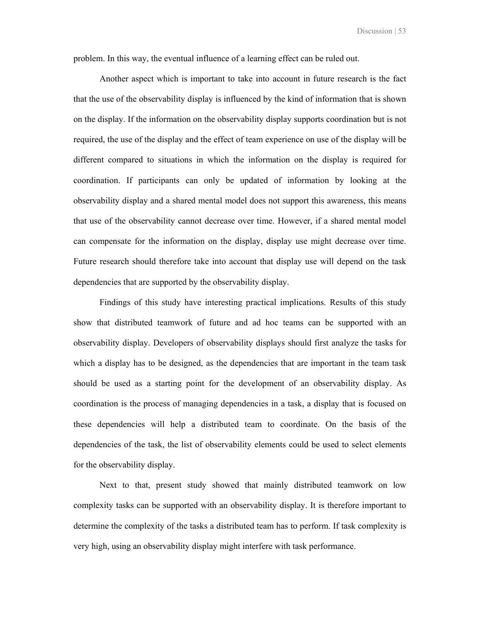problem. In this way, the eventual influence of a learning effect can be ruled out.

 Another aspect which is important to take into account in future research is the fact that the use of the observability display is influenced by the kind of information that is shown on the display. If the information on the observability display supports coordination but is not required, the use of the display and the effect of team experience on use of the display will be different compared to situations in which the information on the display is required for coordination. If participants can only be updated of information by looking at the observability display and a shared mental model does not support this awareness, this means that use of the observability cannot decrease over time. However, if a shared mental model can compensate for the information on the display, display use might decrease over time. Future research should therefore take into account that display use will depend on the task dependencies that are supported by the observability display.

 Findings of this study have interesting practical implications. Results of this study show that distributed teamwork of future and ad hoc teams can be supported with an observability display. Developers of observability displays should first analyze the tasks for which a display has to be designed, as the dependencies that are important in the team task should be used as a starting point for the development of an observability display. As coordination is the process of managing dependencies in a task, a display that is focused on these dependencies will help a distributed team to coordinate. On the basis of the dependencies of the task, the list of observability elements could be used to select elements for the observability display.

 Next to that, present study showed that mainly distributed teamwork on low complexity tasks can be supported with an observability display. It is therefore important to determine the complexity of the tasks a distributed team has to perform. If task complexity is very high, using an observability display might interfere with task performance.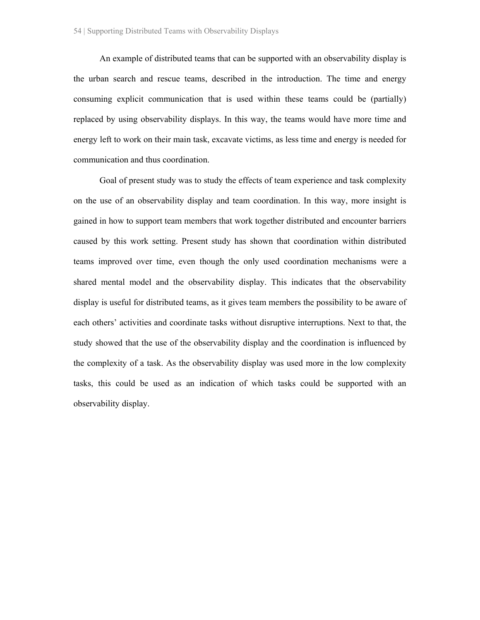An example of distributed teams that can be supported with an observability display is the urban search and rescue teams, described in the introduction. The time and energy consuming explicit communication that is used within these teams could be (partially) replaced by using observability displays. In this way, the teams would have more time and energy left to work on their main task, excavate victims, as less time and energy is needed for communication and thus coordination.

 Goal of present study was to study the effects of team experience and task complexity on the use of an observability display and team coordination. In this way, more insight is gained in how to support team members that work together distributed and encounter barriers caused by this work setting. Present study has shown that coordination within distributed teams improved over time, even though the only used coordination mechanisms were a shared mental model and the observability display. This indicates that the observability display is useful for distributed teams, as it gives team members the possibility to be aware of each others' activities and coordinate tasks without disruptive interruptions. Next to that, the study showed that the use of the observability display and the coordination is influenced by the complexity of a task. As the observability display was used more in the low complexity tasks, this could be used as an indication of which tasks could be supported with an observability display.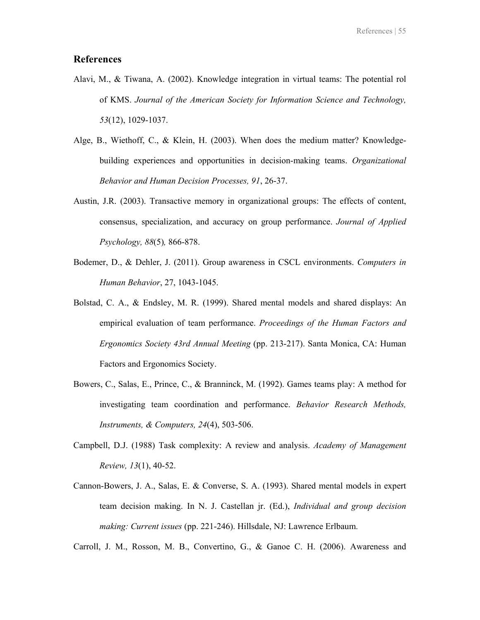# **References**

- Alavi, M., & Tiwana, A. (2002). Knowledge integration in virtual teams: The potential rol of KMS. *Journal of the American Society for Information Science and Technology, 53*(12), 1029-1037.
- Alge, B., Wiethoff, C., & Klein, H. (2003). When does the medium matter? Knowledge building experiences and opportunities in decision-making teams. *Organizational Behavior and Human Decision Processes, 91*, 26-37.
- Austin, J.R. (2003). Transactive memory in organizational groups: The effects of content, consensus, specialization, and accuracy on group performance. *Journal of Applied Psychology, 88*(5)*,* 866-878.
- Bodemer, D., & Dehler, J. (2011). Group awareness in CSCL environments. *Computers in Human Behavior*, 27, 1043-1045.
- Bolstad, C. A., & Endsley, M. R. (1999). Shared mental models and shared displays: An empirical evaluation of team performance. *Proceedings of the Human Factors and Ergonomics Society 43rd Annual Meeting* (pp. 213-217). Santa Monica, CA: Human Factors and Ergonomics Society.
- Bowers, C., Salas, E., Prince, C., & Branninck, M. (1992). Games teams play: A method for investigating team coordination and performance. *Behavior Research Methods, Instruments, & Computers, 24*(4), 503-506.
- Campbell, D.J. (1988) Task complexity: A review and analysis. *Academy of Management Review, 13*(1), 40-52.
- Cannon-Bowers, J. A., Salas, E. & Converse, S. A. (1993). Shared mental models in expert team decision making. In N. J. Castellan jr. (Ed.), *Individual and group decision making: Current issues* (pp. 221-246). Hillsdale, NJ: Lawrence Erlbaum.

Carroll, J. M., Rosson, M. B., Convertino, G., & Ganoe C. H. (2006). Awareness and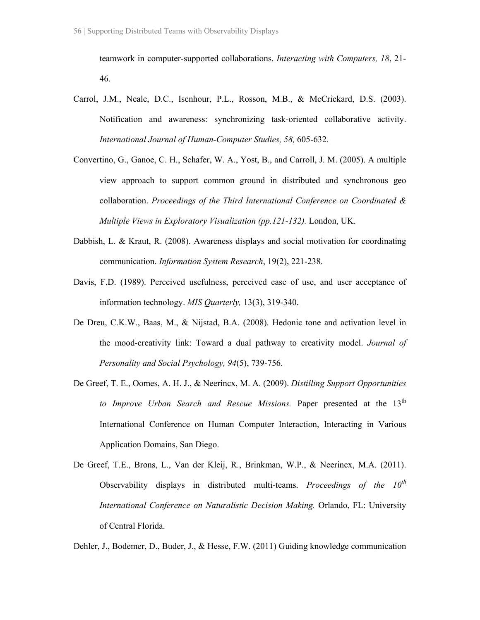teamwork in computer-supported collaborations. *Interacting with Computers, 18*, 21- 46.

- Carrol, J.M., Neale, D.C., Isenhour, P.L., Rosson, M.B., & McCrickard, D.S. (2003). Notification and awareness: synchronizing task-oriented collaborative activity. *International Journal of Human-Computer Studies, 58,* 605-632.
- Convertino, G., Ganoe, C. H., Schafer, W. A., Yost, B., and Carroll, J. M. (2005). A multiple view approach to support common ground in distributed and synchronous geo collaboration. *Proceedings of the Third International Conference on Coordinated & Multiple Views in Exploratory Visualization (pp.121-132).* London, UK.
- Dabbish, L. & Kraut, R. (2008). Awareness displays and social motivation for coordinating communication. *Information System Research*, 19(2), 221-238.
- Davis, F.D. (1989). Perceived usefulness, perceived ease of use, and user acceptance of information technology. *MIS Quarterly,* 13(3), 319-340.
- De Dreu, C.K.W., Baas, M., & Nijstad, B.A. (2008). Hedonic tone and activation level in the mood-creativity link: Toward a dual pathway to creativity model. *Journal of Personality and Social Psychology, 94*(5), 739-756.
- De Greef, T. E., Oomes, A. H. J., & Neerincx, M. A. (2009). *Distilling Support Opportunities to Improve Urban Search and Rescue Missions.* Paper presented at the 13<sup>th</sup> International Conference on Human Computer Interaction, Interacting in Various Application Domains, San Diego.
- De Greef, T.E., Brons, L., Van der Kleij, R., Brinkman, W.P., & Neerincx, M.A. (2011). Observability displays in distributed multi-teams. *Proceedings of the 10<sup>th</sup> International Conference on Naturalistic Decision Making.* Orlando, FL: University of Central Florida.

Dehler, J., Bodemer, D., Buder, J., & Hesse, F.W. (2011) Guiding knowledge communication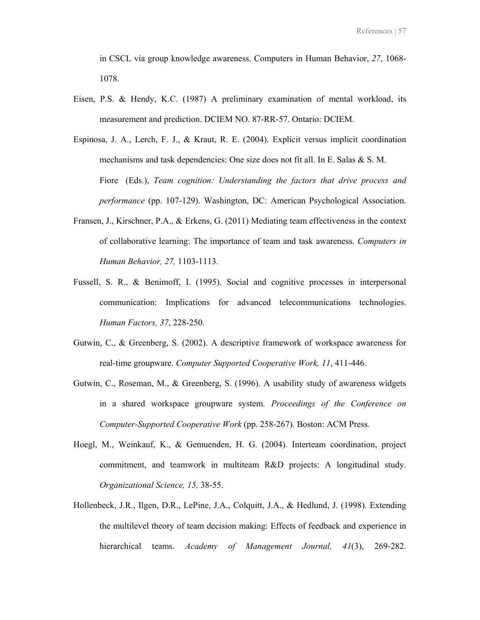References | 57

 in CSCL via group knowledge awareness. Computers in Human Behavior, *27*, 1068- 1078.

- Eisen, P.S. & Hendy, K.C. (1987) A preliminary examination of mental workload, its measurement and prediction. DCIEM NO. 87-RR-57. Ontario: DCIEM.
- Espinosa, J. A., Lerch, F. J., & Kraut, R. E. (2004). Explicit versus implicit coordination mechanisms and task dependencies: One size does not fit all. In E. Salas & S. M. Fiore (Eds.), *Team cognition: Understanding the factors that drive process and performance* (pp. 107-129). Washington, DC: American Psychological Association.
- Fransen, J., Kirschner, P.A., & Erkens, G. (2011) Mediating team effectiveness in the context of collaborative learning: The importance of team and task awareness. *Computers in Human Behavior, 27,* 1103-1113.
- Fussell, S. R., & Benimoff, I. (1995). Social and cognitive processes in interpersonal communication: Implications for advanced telecommunications technologies. *Human Factors, 37*, 228-250.
- Gutwin, C., & Greenberg, S. (2002). A descriptive framework of workspace awareness for real-time groupware. *Computer Supported Cooperative Work, 11*, 411-446.
- Gutwin, C., Roseman, M., & Greenberg, S. (1996). A usability study of awareness widgets in a shared workspace groupware system. *Proceedings of the Conference on Computer-Supported Cooperative Work* (pp. 258-267). Boston: ACM Press.
- Hoegl, M., Weinkauf, K., & Gemuenden, H. G. (2004). Interteam coordination, project commitment, and teamwork in multiteam R&D projects: A longitudinal study. *Organizational Science, 15,* 38-55.
- Hollenbeck, J.R., Ilgen, D.R., LePine, J.A., Colquitt, J.A., & Hedlund, J. (1998). Extending the multilevel theory of team decision making: Effects of feedback and experience in hierarchical teams. *Academy of Management Journal, 41*(3), 269-282.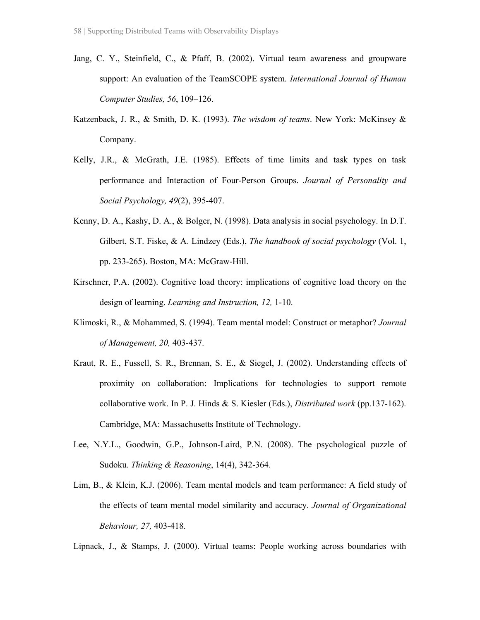- Jang, C. Y., Steinfield, C., & Pfaff, B. (2002). Virtual team awareness and groupware support: An evaluation of the TeamSCOPE system. *International Journal of Human Computer Studies, 56*, 109–126.
- Katzenback, J. R., & Smith, D. K. (1993). *The wisdom of teams*. New York: McKinsey & Company.
- Kelly, J.R., & McGrath, J.E. (1985). Effects of time limits and task types on task performance and Interaction of Four-Person Groups. *Journal of Personality and Social Psychology, 49*(2), 395-407.
- Kenny, D. A., Kashy, D. A., & Bolger, N. (1998). Data analysis in social psychology. In D.T. Gilbert, S.T. Fiske, & A. Lindzey (Eds.), *The handbook of social psychology* (Vol. 1, pp. 233-265). Boston, MA: McGraw-Hill.
- Kirschner, P.A. (2002). Cognitive load theory: implications of cognitive load theory on the design of learning. *Learning and Instruction, 12,* 1-10.
- Klimoski, R., & Mohammed, S. (1994). Team mental model: Construct or metaphor? *Journal of Management, 20,* 403-437.
- Kraut, R. E., Fussell, S. R., Brennan, S. E., & Siegel, J. (2002). Understanding effects of proximity on collaboration: Implications for technologies to support remote collaborative work. In P. J. Hinds & S. Kiesler (Eds.), *Distributed work* (pp.137-162). Cambridge, MA: Massachusetts Institute of Technology.
- Lee, N.Y.L., Goodwin, G.P., Johnson-Laird, P.N. (2008). The psychological puzzle of Sudoku. *Thinking & Reasoning*, 14(4), 342-364.
- Lim, B., & Klein, K.J. (2006). Team mental models and team performance: A field study of the effects of team mental model similarity and accuracy. *Journal of Organizational Behaviour, 27,* 403-418.

Lipnack, J., & Stamps, J. (2000). Virtual teams: People working across boundaries with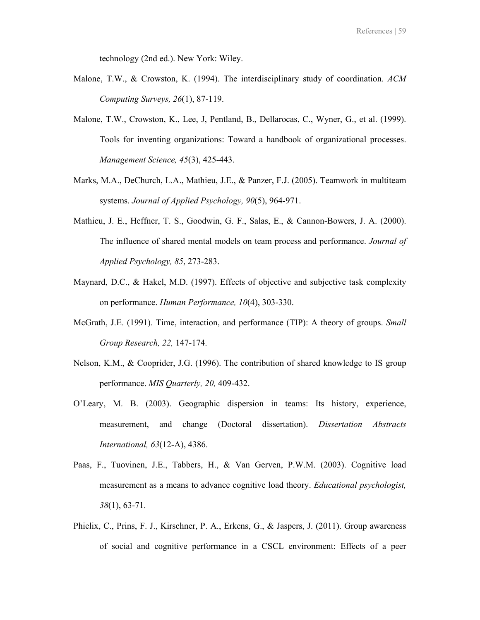technology (2nd ed.). New York: Wiley.

- Malone, T.W., & Crowston, K. (1994). The interdisciplinary study of coordination. *ACM Computing Surveys, 26*(1), 87-119.
- Malone, T.W., Crowston, K., Lee, J, Pentland, B., Dellarocas, C., Wyner, G., et al. (1999). Tools for inventing organizations: Toward a handbook of organizational processes. *Management Science, 45*(3), 425-443.
- Marks, M.A., DeChurch, L.A., Mathieu, J.E., & Panzer, F.J. (2005). Teamwork in multiteam systems. *Journal of Applied Psychology, 90*(5), 964-971.
- Mathieu, J. E., Heffner, T. S., Goodwin, G. F., Salas, E., & Cannon-Bowers, J. A. (2000). The influence of shared mental models on team process and performance. *Journal of Applied Psychology, 85*, 273-283.
- Maynard, D.C., & Hakel, M.D. (1997). Effects of objective and subjective task complexity on performance. *Human Performance, 10*(4), 303-330.
- McGrath, J.E. (1991). Time, interaction, and performance (TIP): A theory of groups. *Small Group Research, 22,* 147-174.
- Nelson, K.M., & Cooprider, J.G. (1996). The contribution of shared knowledge to IS group performance. *MIS Quarterly, 20,* 409-432.
- O'Leary, M. B. (2003). Geographic dispersion in teams: Its history, experience, measurement, and change (Doctoral dissertation). *Dissertation Abstracts International, 63*(12-A), 4386.
- Paas, F., Tuovinen, J.E., Tabbers, H., & Van Gerven, P.W.M. (2003). Cognitive load measurement as a means to advance cognitive load theory. *Educational psychologist, 38*(1), 63-71.
- Phielix, C., Prins, F. J., Kirschner, P. A., Erkens, G., & Jaspers, J. (2011). Group awareness of social and cognitive performance in a CSCL environment: Effects of a peer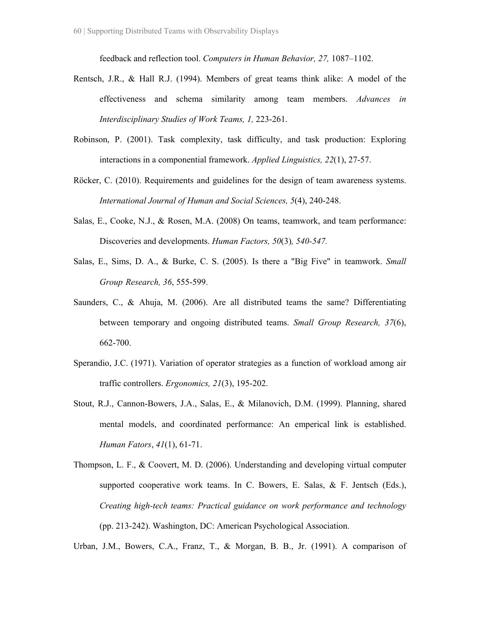feedback and reflection tool. *Computers in Human Behavior, 27,* 1087–1102.

- Rentsch, J.R., & Hall R.J. (1994). Members of great teams think alike: A model of the effectiveness and schema similarity among team members. *Advances in Interdisciplinary Studies of Work Teams, 1,* 223-261.
- Robinson, P. (2001). Task complexity, task difficulty, and task production: Exploring interactions in a componential framework. *Applied Linguistics, 22*(1), 27-57.
- Röcker, C. (2010). Requirements and guidelines for the design of team awareness systems. *International Journal of Human and Social Sciences, 5*(4), 240-248.
- Salas, E., Cooke, N.J., & Rosen, M.A. (2008) On teams, teamwork, and team performance: Discoveries and developments. *Human Factors, 50*(3)*, 540-547.*
- Salas, E., Sims, D. A., & Burke, C. S. (2005). Is there a "Big Five" in teamwork. *Small Group Research, 36*, 555-599.
- Saunders, C., & Ahuja, M. (2006). Are all distributed teams the same? Differentiating between temporary and ongoing distributed teams. *Small Group Research, 37*(6), 662-700.
- Sperandio, J.C. (1971). Variation of operator strategies as a function of workload among air traffic controllers. *Ergonomics, 21*(3), 195-202.
- Stout, R.J., Cannon-Bowers, J.A., Salas, E., & Milanovich, D.M. (1999). Planning, shared mental models, and coordinated performance: An emperical link is established. *Human Fators*, *41*(1), 61-71.
- Thompson, L. F., & Coovert, M. D. (2006). Understanding and developing virtual computer supported cooperative work teams. In C. Bowers, E. Salas, & F. Jentsch (Eds.), *Creating high-tech teams: Practical guidance on work performance and technology* (pp. 213-242). Washington, DC: American Psychological Association.

Urban, J.M., Bowers, C.A., Franz, T., & Morgan, B. B., Jr. (1991). A comparison of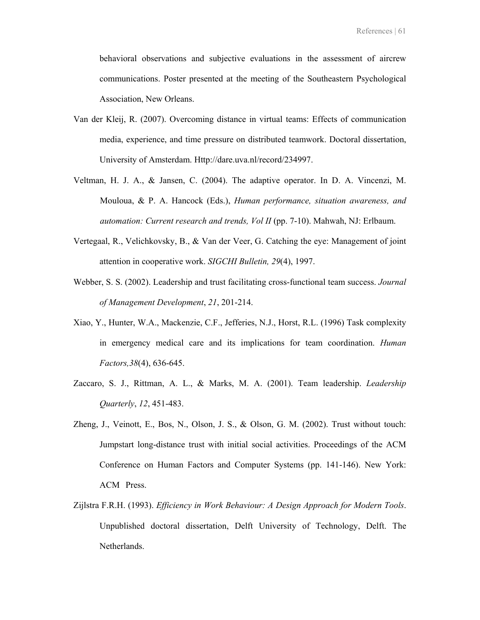behavioral observations and subjective evaluations in the assessment of aircrew communications. Poster presented at the meeting of the Southeastern Psychological Association, New Orleans.

- Van der Kleij, R. (2007). Overcoming distance in virtual teams: Effects of communication media, experience, and time pressure on distributed teamwork. Doctoral dissertation, University of Amsterdam. Http://dare.uva.nl/record/234997.
- Veltman, H. J. A., & Jansen, C. (2004). The adaptive operator. In D. A. Vincenzi, M. Mouloua, & P. A. Hancock (Eds.), *Human performance, situation awareness, and automation: Current research and trends, Vol II* (pp. 7-10). Mahwah, NJ: Erlbaum.
- Vertegaal, R., Velichkovsky, B., & Van der Veer, G. Catching the eye: Management of joint attention in cooperative work. *SIGCHI Bulletin, 29*(4), 1997.
- Webber, S. S. (2002). Leadership and trust facilitating cross-functional team success. *Journal of Management Development*, *21*, 201-214.
- Xiao, Y., Hunter, W.A., Mackenzie, C.F., Jefferies, N.J., Horst, R.L. (1996) Task complexity in emergency medical care and its implications for team coordination. *Human Factors,38*(4), 636-645.
- Zaccaro, S. J., Rittman, A. L., & Marks, M. A. (2001). Team leadership. *Leadership Quarterly*, *12*, 451-483.
- Zheng, J., Veinott, E., Bos, N., Olson, J. S., & Olson, G. M. (2002). Trust without touch: Jumpstart long-distance trust with initial social activities. Proceedings of the ACM Conference on Human Factors and Computer Systems (pp. 141-146). New York: ACM Press.
- Zijlstra F.R.H. (1993). *Efficiency in Work Behaviour: A Design Approach for Modern Tools*. Unpublished doctoral dissertation, Delft University of Technology, Delft. The Netherlands.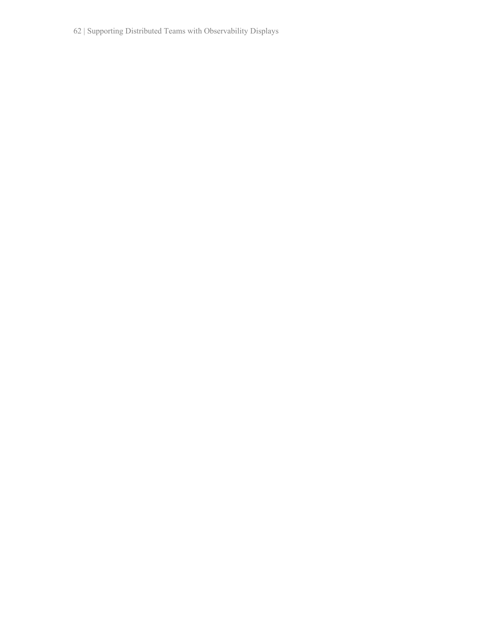62 | Supporting Distributed Teams with Observability Displays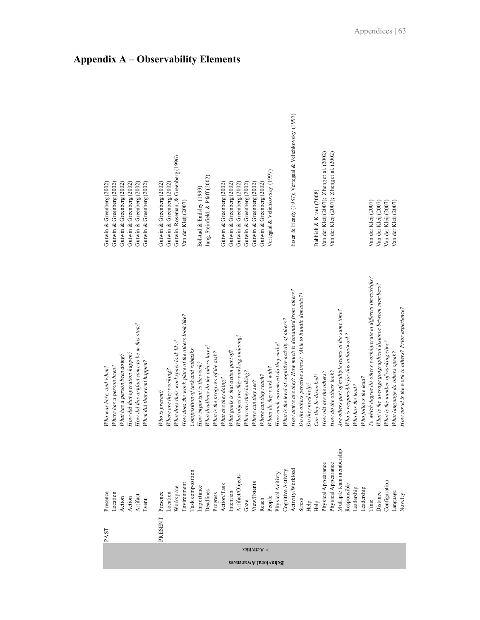| How did this artifact come to be in this state?<br>How did that operation happen?<br>What has a person been doing?<br>When did that event happen?<br>Where has a person been?<br>Who was here, and when? | To which degree do others work/operate at different times/shifts?<br>What is the average geographical distance between members?<br>How active are they? How much is demanded from others?<br>Do the others perceive stress? (Able to handle demands?)<br>How novel is the work to others? Prior experience?<br>Are others part of multiple teams at the same time?<br>How does the work place of the others look like?<br>What is the level of cognitive activity of others?<br>Who is responsible for this action/work?<br>What object are they working on/using?<br>What does their workspace look like?<br>What is the number of working sites?<br>How much movement do they make?<br>What deadlines do the others have?<br>Composition of task and subtasks<br>What goals is that action part of?<br>What language do others speak?<br>What is the progress of the task?<br>How important is the work?<br>Whom do they work with?<br>Where are they working?<br>How do the others look?<br>Where are they looking?<br>How old are the others?<br>Can they be disturbed?<br>Where can they reach?<br>Who follows the lead?<br>What are they doing?<br>Where can they see?<br>Do they need help?<br>Who has the lead?<br>Who is present? |
|----------------------------------------------------------------------------------------------------------------------------------------------------------------------------------------------------------|--------------------------------------------------------------------------------------------------------------------------------------------------------------------------------------------------------------------------------------------------------------------------------------------------------------------------------------------------------------------------------------------------------------------------------------------------------------------------------------------------------------------------------------------------------------------------------------------------------------------------------------------------------------------------------------------------------------------------------------------------------------------------------------------------------------------------------------------------------------------------------------------------------------------------------------------------------------------------------------------------------------------------------------------------------------------------------------------------------------------------------------------------------------------------------------------------------------------------------------------|
| Presence<br>Location<br>Artifact<br>Action<br>Action<br>Event<br>PAST                                                                                                                                    | ₽<br>Multiple team membershi<br>Phy sical Appearance<br>Physical Appearance<br>Activity/Workload<br>Cognitive Activity<br>Task composition<br>Physical Acitivty<br>Artifact/Objects<br>Configuration<br>View/Extents<br>Environment<br>Responsible<br>Action/Task<br>Workspace<br>Importance<br><b>Leadership</b><br>Leadership<br>Deadlines<br>Intention<br>Language<br>Distance<br>Progress<br>Presence<br>Location<br>Novelty<br>People<br>Reach<br><b>Stress</b><br>Gaze<br>Time<br>Help<br>Help<br><b>PRESENT</b>                                                                                                                                                                                                                                                                                                                                                                                                                                                                                                                                                                                                                                                                                                                     |
|                                                                                                                                                                                                          | $\operatorname{sgn}$ ungs                                                                                                                                                                                                                                                                                                                                                                                                                                                                                                                                                                                                                                                                                                                                                                                                                                                                                                                                                                                                                                                                                                                                                                                                                  |

# **Appendix A – Observability Elements**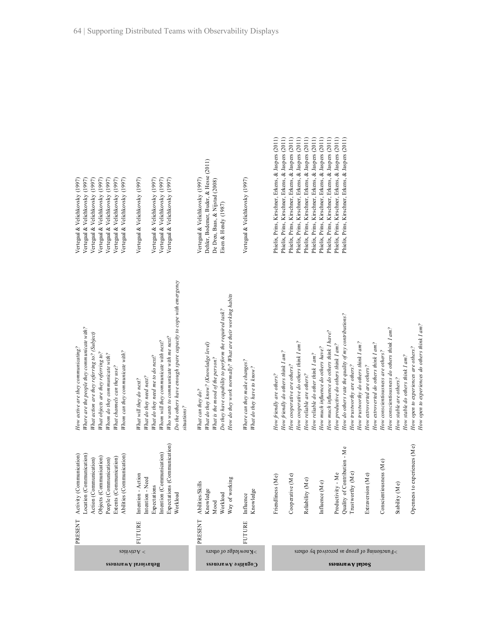| How productive do others think I am<br>How open to experiences do others th<br>How conscientiousness are others?<br>How reliable do other think I am?<br>How stable do others think I am?<br>Where can they make changes?<br>How cooperative are others?<br>How extroverted are others?<br>How trustworthy are others?<br>What channels can they use?<br>What do they have to know?<br>How reliable are others?<br>How friendly are others?<br>What do they need next?<br>How stable are others?<br>What will they do next?<br>What can they do?<br>situations?<br>Expectations (Communication)<br>Openness to experiences (Me)<br>Quality of Contribution - Me<br>intention (Communication)<br>Location (Communication)<br>Abilities (Communication)<br>Objects (Communication)<br>Extents (Communication)<br>Action (Communication)<br>People (Communication)<br>Conscientiousness (Me)<br>Trustworthy (Me)<br>Productivity - Me<br>Intention - Action<br>Extraversion (Me)<br>Cooperative (Me)<br>Friendliness (Me)<br>Intention - Need<br>Way of working<br>Reliability (Me)<br>Influence (Me)<br>Abilities/Skills<br>Stability (Me)<br>Expectations<br>Knowledge<br>Knowledge<br>Workload<br>Workload<br>Influence<br>M <sub>ood</sub><br>PRESENT<br><b>FUTURE</b><br>FUTURE<br>>Functioning of group as perceived by others<br>>Knowledge of others<br>$s$ ənivitə $A <$<br>$cos$ agnitve Awareness<br>SeanongwA laioo2<br><b>Behavioral Awareness</b> |  |                |                          |                                                                                                                                                                                                                               |
|--------------------------------------------------------------------------------------------------------------------------------------------------------------------------------------------------------------------------------------------------------------------------------------------------------------------------------------------------------------------------------------------------------------------------------------------------------------------------------------------------------------------------------------------------------------------------------------------------------------------------------------------------------------------------------------------------------------------------------------------------------------------------------------------------------------------------------------------------------------------------------------------------------------------------------------------------------------------------------------------------------------------------------------------------------------------------------------------------------------------------------------------------------------------------------------------------------------------------------------------------------------------------------------------------------------------------------------------------------------------------------------------------------------------------------------------------------------|--|----------------|--------------------------|-------------------------------------------------------------------------------------------------------------------------------------------------------------------------------------------------------------------------------|
|                                                                                                                                                                                                                                                                                                                                                                                                                                                                                                                                                                                                                                                                                                                                                                                                                                                                                                                                                                                                                                                                                                                                                                                                                                                                                                                                                                                                                                                              |  | <b>PRESENT</b> | Activity (Communication) | How active are they communicating?<br>What action are they referring to? (S<br>Where are the people they communic<br>Whom can they communicate with?<br>What objects are they referring to?<br>Whom do they communicate with? |
|                                                                                                                                                                                                                                                                                                                                                                                                                                                                                                                                                                                                                                                                                                                                                                                                                                                                                                                                                                                                                                                                                                                                                                                                                                                                                                                                                                                                                                                              |  |                |                          | Whom will they communicate with ne<br>Who wants to communicate with me<br>Do the others have enough spare cap<br>What do they need me to do next?                                                                             |
|                                                                                                                                                                                                                                                                                                                                                                                                                                                                                                                                                                                                                                                                                                                                                                                                                                                                                                                                                                                                                                                                                                                                                                                                                                                                                                                                                                                                                                                              |  |                |                          | What do they know? (Knowledge leve<br>Do they have capability to perform th<br>How do they work normally? What a<br>What is the mood of the person?                                                                           |
|                                                                                                                                                                                                                                                                                                                                                                                                                                                                                                                                                                                                                                                                                                                                                                                                                                                                                                                                                                                                                                                                                                                                                                                                                                                                                                                                                                                                                                                              |  |                |                          |                                                                                                                                                                                                                               |
|                                                                                                                                                                                                                                                                                                                                                                                                                                                                                                                                                                                                                                                                                                                                                                                                                                                                                                                                                                                                                                                                                                                                                                                                                                                                                                                                                                                                                                                              |  |                |                          |                                                                                                                                                                                                                               |
|                                                                                                                                                                                                                                                                                                                                                                                                                                                                                                                                                                                                                                                                                                                                                                                                                                                                                                                                                                                                                                                                                                                                                                                                                                                                                                                                                                                                                                                              |  |                |                          | How friendly do others think I am?                                                                                                                                                                                            |
|                                                                                                                                                                                                                                                                                                                                                                                                                                                                                                                                                                                                                                                                                                                                                                                                                                                                                                                                                                                                                                                                                                                                                                                                                                                                                                                                                                                                                                                              |  |                |                          | How cooperative do others think I an                                                                                                                                                                                          |
|                                                                                                                                                                                                                                                                                                                                                                                                                                                                                                                                                                                                                                                                                                                                                                                                                                                                                                                                                                                                                                                                                                                                                                                                                                                                                                                                                                                                                                                              |  |                |                          | How much influence do others have?<br>How much influence do others think                                                                                                                                                      |
|                                                                                                                                                                                                                                                                                                                                                                                                                                                                                                                                                                                                                                                                                                                                                                                                                                                                                                                                                                                                                                                                                                                                                                                                                                                                                                                                                                                                                                                              |  |                |                          | $How$ trustworthy do others think I an<br>How do others rate the quality of $m y$                                                                                                                                             |
|                                                                                                                                                                                                                                                                                                                                                                                                                                                                                                                                                                                                                                                                                                                                                                                                                                                                                                                                                                                                                                                                                                                                                                                                                                                                                                                                                                                                                                                              |  |                |                          | How extroverted do others think I an                                                                                                                                                                                          |
|                                                                                                                                                                                                                                                                                                                                                                                                                                                                                                                                                                                                                                                                                                                                                                                                                                                                                                                                                                                                                                                                                                                                                                                                                                                                                                                                                                                                                                                              |  |                |                          | How conscientiousness do others this                                                                                                                                                                                          |
|                                                                                                                                                                                                                                                                                                                                                                                                                                                                                                                                                                                                                                                                                                                                                                                                                                                                                                                                                                                                                                                                                                                                                                                                                                                                                                                                                                                                                                                              |  |                |                          | How open to experiences are others?                                                                                                                                                                                           |

PRESENT Activity (Communication) *How active are they communicating?* Vertegaal & Velichkovsky (1997) Location (Communication) *Where are the people they communicate with?* Vertegaal & Velichkovsky (1997) Action (Communication) *What action are they referring to? (Subject)* Vertegaal & Velichkovsky (1997) Objects (Communication) *What objects are they referring to?* Vertegaal & Velichkovsky (1997) People (Communication) *Whom do they communicate with?* Vertegaal & Velichkovsky (1997) Extents (Communication) *What channels can they use?* Vertegaal & Velichkovsky (1997) Abilities (Communication) *Whom can they communicate with?* Vertegaal & Velichkovsky (1997) FUTURE Intention - Action *What will they do next?* Vertegaal & Velichkovsky (1997) Intention - Need *What do they need next?* Expectations *What do they need me to do next?* Vertegaal & Velichkovsky (1997) Intention (Communication) *Whom will they communicate with next?* Vertegaal & Velichkovsky (1997) Expectations (Communication) *Who wants to communicate with me next?* Vertegaal & Velichkovsky (1997) Workload *Do the others have enough spare capacity to cope with emergency situations?* PRESENT Abilities/Skills *What can they do?* Vertegaal & Velichkovsky (1997) Knowledge *What do they know? (Knowledge level)* Dehler, Bodemer, Buder, & Hesse (2011) M ood *What is the mood of the person?* De Dreu, Baas, & Nijstad (2008) Workload *Do they have capability to perform the required task?* Eisen & Hendy (1987) Way of working *How do they work normally? What are their working habits* FUTURE Influence *Where can they make changes?* Vertegaal & Velichkovsky (1997) Knowledge *What do they have to know?* Friendliness (M e) *How friendly are others?* Phielix, Prins, Kirschner, Erkens, & Jasp ers (2011)

*How friendly do others think I am?* Phink I am Phielix, Prins, Kirschner, Erkens, & Jaspers (2011) Cooperative (M e) *How cooperative are others?* Philosoperative are others? *How cooperative do others think I am?* Phit *am?* Phielix, Prins, Kirschner, Erkens, & Jaspers (2011) Reliability (M e) *How reliable are others?* Phielix, Prins, Kirschner, Erkens, & Jasp ers (2011) *How reliable do other think I am?* Phink I am<sup>2</sup> Phielix, Prins, Kirschner, Erkens, & Jaspers (2011) Influence (M e) *How much influence do others have?* Phielix, Prins, Kirschner, Erkens, & Jaspers (2011) *How much influence do others think I have?* Phielix, Prins, Kirschner, Erkens, & Jaspers (2011) Productivity - M e *How productive do others think I am?* Phielix, Prins, Kirschner, Erkens, & Jasp ers (2011) Quality of Contribution - M e *How do others rate the quality of my contributions?* Phielix, Prins, Kirschner, Erkens, & Jaspers (2011) How do others rate the quality of my contributions? How open to experiences do others think I am? *How open to experiences do others think I am?* How conscientiousness do others think I am? *How conscientiousness do others think I am?* How much influence do others think I have? How cooperative do others think I am? How trustworthy do others think I am? *How trustworthy do others think I am?* How extroverted do others think I am? How productive do others think I am? *How extroverted do others think I am?* How open to experiences are others? How much influence do others have? How conscientiousness are others? How friendly do others think I am? How reliable do other think I am? How stable do others think I am? *How stable do others think I am?* How cooperative are others? How trustworthy are others? How extroverted are others? How reliable are others? How stable are others?

Phielix, Prins, Kirschner, Erkens, & Jaspers (2011)

Phielix, Prins, Kirschner, Erkens, & Jaspers (2011) Phielix, Prins, Kirschner, Erkens, & Jaspers (2011) Phielix, Prins, Kirschner, Erkens, & Jaspers (2011) Phielix, Prins, Kirschner, Erkens, & Jaspers (2011) Phielix, Prins, Kirschner, Erkens, & Jaspers (2011) Phielix, Prins, Kirschner, Erkens, & Jaspers (2011) Phielix, Prins, Kirschner, Erkens, & Jaspers (2011) Phielix, Prins, Kirschner, Erkens, & Jaspers (2011)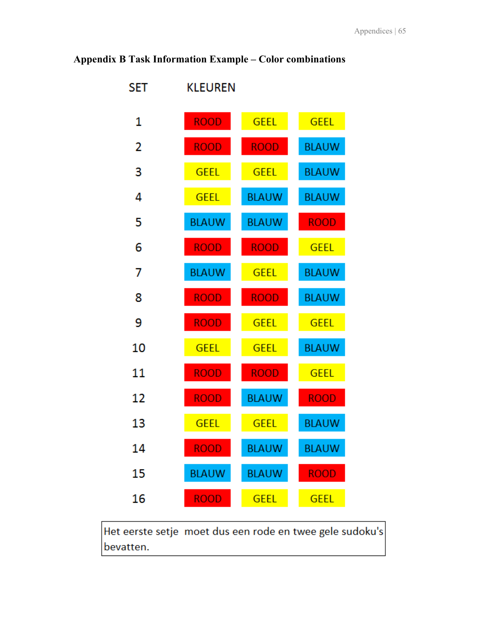# **Appendix B Task Information Example – Color combinations**



Het eerste setje moet dus een rode en twee gele sudoku's bevatten.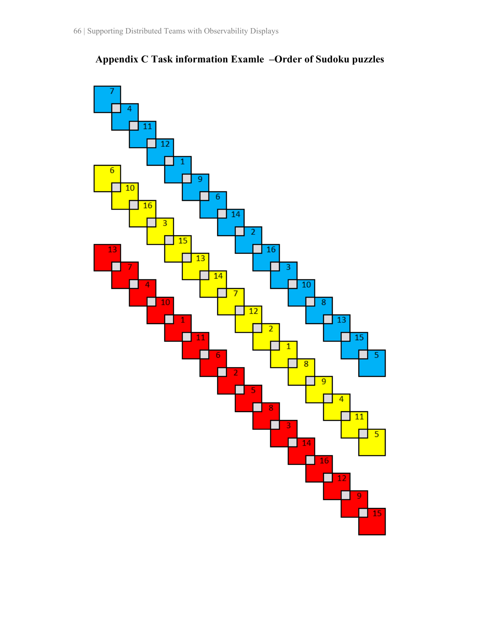

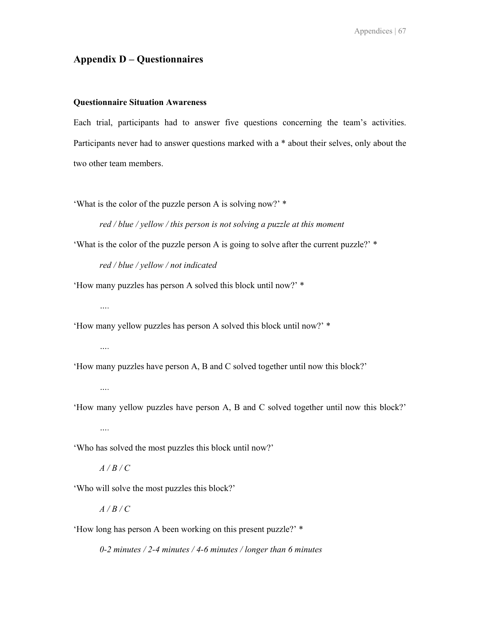# **Appendix D – Questionnaires**

### **Questionnaire Situation Awareness**

Each trial, participants had to answer five questions concerning the team's activities. Participants never had to answer questions marked with a \* about their selves, only about the two other team members.

'What is the color of the puzzle person A is solving now?' \*

*red / blue / yellow / this person is not solving a puzzle at this moment* 

'What is the color of the puzzle person A is going to solve after the current puzzle?' \*

*red / blue / yellow / not indicated* 

'How many puzzles has person A solved this block until now?' \*

 *….* 

'How many yellow puzzles has person A solved this block until now?' \*

 *….* 

'How many puzzles have person A, B and C solved together until now this block?'

*….* 

'How many yellow puzzles have person A, B and C solved together until now this block?'

 *….* 

'Who has solved the most puzzles this block until now?'

*A / B / C* 

'Who will solve the most puzzles this block?'

*A / B / C* 

'How long has person A been working on this present puzzle?' \*

 *0-2 minutes / 2-4 minutes / 4-6 minutes / longer than 6 minutes*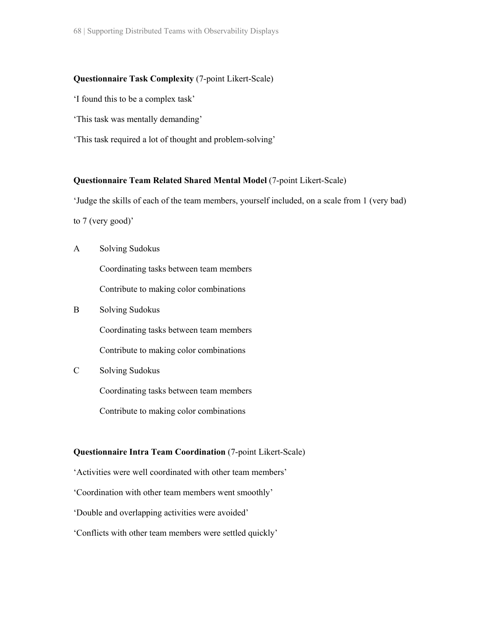# **Questionnaire Task Complexity** (7-point Likert-Scale)

'I found this to be a complex task'

- 'This task was mentally demanding'
- 'This task required a lot of thought and problem-solving'

# **Questionnaire Team Related Shared Mental Model** (7-point Likert-Scale)

'Judge the skills of each of the team members, yourself included, on a scale from 1 (very bad)

to 7 (very good)'

# A Solving Sudokus

Coordinating tasks between team members

Contribute to making color combinations

B Solving Sudokus

Coordinating tasks between team members

Contribute to making color combinations

C Solving Sudokus

Coordinating tasks between team members

Contribute to making color combinations

# **Questionnaire Intra Team Coordination** (7-point Likert-Scale)

- 'Activities were well coordinated with other team members'
- 'Coordination with other team members went smoothly'
- 'Double and overlapping activities were avoided'
- 'Conflicts with other team members were settled quickly'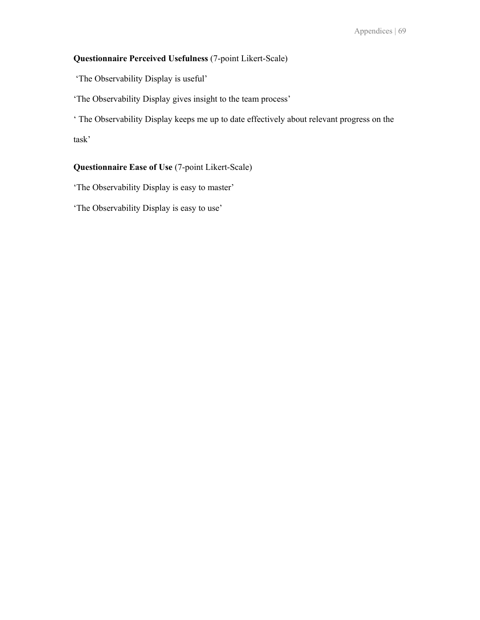# **Questionnaire Perceived Usefulness** (7-point Likert-Scale)

'The Observability Display is useful'

'The Observability Display gives insight to the team process'

' The Observability Display keeps me up to date effectively about relevant progress on the

task'

# **Questionnaire Ease of Use** (7-point Likert-Scale)

'The Observability Display is easy to master'

'The Observability Display is easy to use'